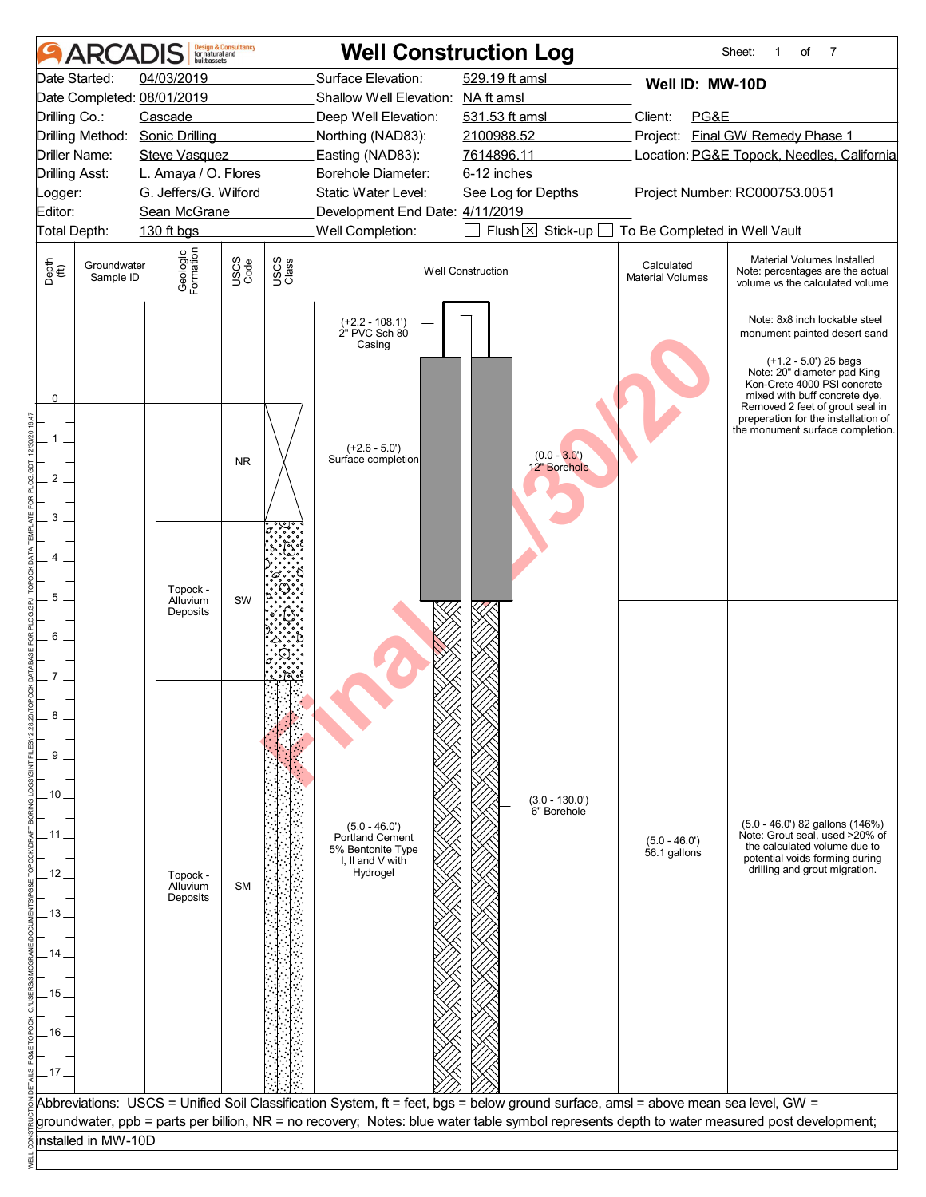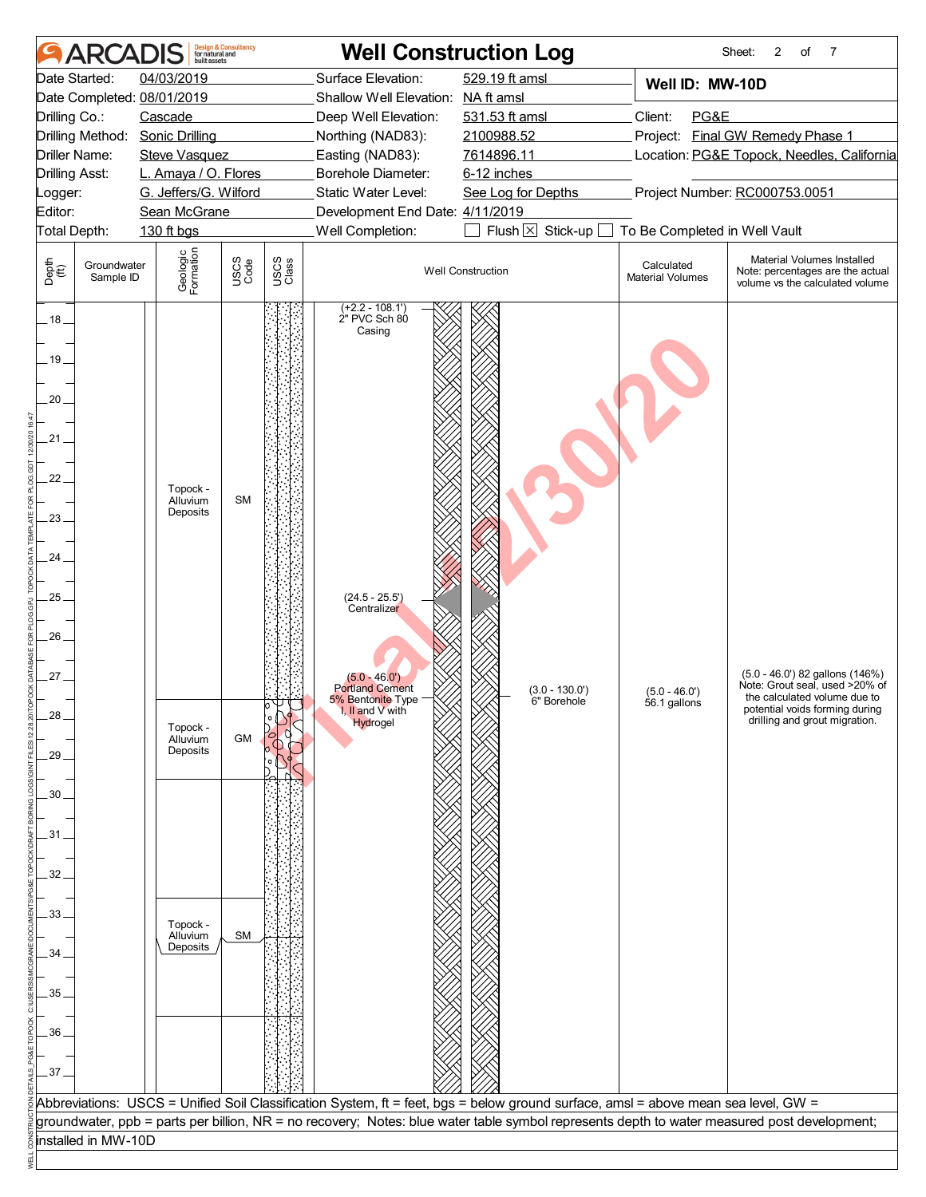|                                                                                                                                            | <b>AR</b>                                                                                                                                                                                                                                                                | built assets                                                                                             | <b>Design &amp; Consultancy</b><br>for natural and |               | <b>Well Construction Log</b>                                                                                                                                                                                                  |                                                                                                                                |                                                                     | 2<br>7<br>Sheet:<br>of                                                                                                                                               |
|--------------------------------------------------------------------------------------------------------------------------------------------|--------------------------------------------------------------------------------------------------------------------------------------------------------------------------------------------------------------------------------------------------------------------------|----------------------------------------------------------------------------------------------------------|----------------------------------------------------|---------------|-------------------------------------------------------------------------------------------------------------------------------------------------------------------------------------------------------------------------------|--------------------------------------------------------------------------------------------------------------------------------|---------------------------------------------------------------------|----------------------------------------------------------------------------------------------------------------------------------------------------------------------|
| Date Started:<br>Logger:<br>Editor:                                                                                                        | 04/03/2019<br>Date Completed: 08/01/2019<br>Cascade<br>Drilling Co.:<br>Drilling Method: Sonic Drilling<br>Driller Name:<br><b>Steve Vasquez</b><br><b>Drilling Asst:</b><br>L. Amaya / O. Flores<br>G. Jeffers/G. Wilford<br>Sean McGrane<br>Total Depth:<br>130 ft bgs |                                                                                                          |                                                    |               | Surface Elevation:<br>Shallow Well Elevation: NA ft amsl<br>Deep Well Elevation:<br>Northing (NAD83):<br>Easting (NAD83):<br>Borehole Diameter:<br>Static Water Level:<br>Development End Date: 4/11/2019<br>Well Completion: | 529.19 ft amsl<br>531.53 ft amsl<br>2100988.52<br>7614896.11<br>6-12 inches<br>See Log for Depths<br>Flush $\times$ Stick-up [ | Well ID: MW-10D<br>Client:<br>PG&E<br>To Be Completed in Well Vault | Project: Final GW Remedy Phase 1<br>Location: PG&E Topock, Needles, California<br>Project Number: RC000753.0051                                                      |
| Depth<br>$\bigoplus_{i=1}^{n}$                                                                                                             | Groundwater<br>Sample ID                                                                                                                                                                                                                                                 | Geologic<br>Formation                                                                                    | USCS<br>Code                                       | USCS<br>Class |                                                                                                                                                                                                                               | <b>Well Construction</b>                                                                                                       | Calculated<br><b>Material Volumes</b>                               | Material Volumes Installed<br>Note: percentages are the actual<br>volume vs the calculated volume                                                                    |
| $.18 -$<br>19.<br>$20 -$<br>21.<br>22.<br>23.<br>24.<br>25<br>26.<br>27<br>28.<br>29<br>30<br>.31.<br>32<br>33<br>34<br>35.<br>36<br>$-37$ |                                                                                                                                                                                                                                                                          | Topock -<br>Alluvium<br>Deposits<br>Topock -<br>Alluvium<br>Deposits<br>Topock -<br>Alluvium<br>Deposits | <b>SM</b><br>GM<br><b>SM</b>                       |               | (+2.2 - 108.1')<br>2" PVC Sch 80<br>Casing<br>$(24.5 - 25.5')$<br>Centralizer<br>$(5.0 - 46.0')$<br><b>Portland Cement</b><br>5% Bentonite Type<br>I, II and V with<br>Hydrogel                                               | $(3.0 - 130.0')$<br>6" Borehole                                                                                                | $(5.0 - 46.0')$<br>56.1 gallons                                     | (5.0 - 46.0') 82 gallons (146%)<br>Note: Grout seal, used >20% of<br>the calculated volume due to<br>potential voids forming during<br>drilling and grout migration. |
|                                                                                                                                            |                                                                                                                                                                                                                                                                          |                                                                                                          |                                                    |               | Abbreviations: USCS = Unified Soil Classification System, ft = feet, bgs = below ground surface, amsl = above mean sea level, GW =                                                                                            |                                                                                                                                |                                                                     | groundwater, ppb = parts per billion, NR = no recovery; Notes: blue water table symbol represents depth to water measured post development;                          |
|                                                                                                                                            | installed in MW-10D                                                                                                                                                                                                                                                      |                                                                                                          |                                                    |               |                                                                                                                                                                                                                               |                                                                                                                                |                                                                     |                                                                                                                                                                      |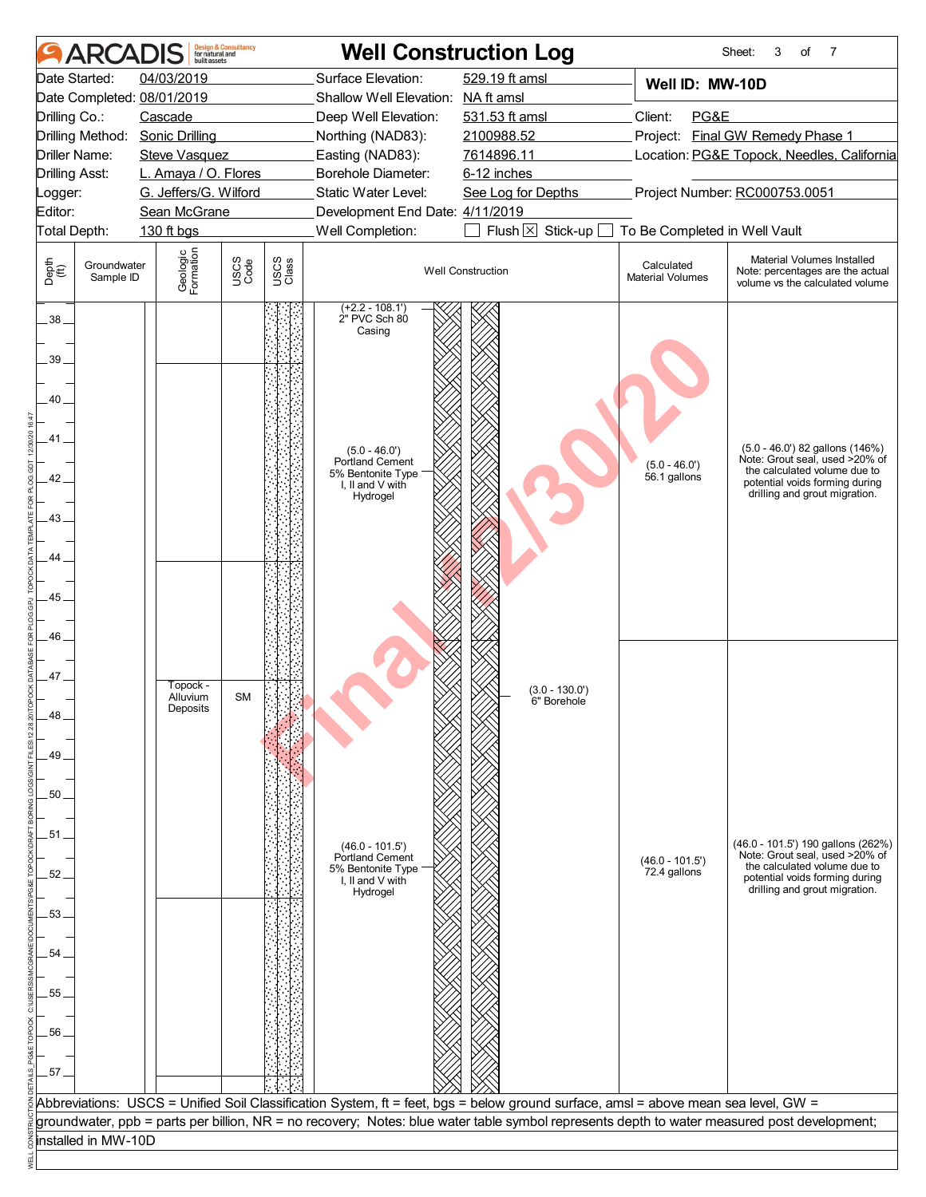| <b>ARCAD</b>                                                                                                                                                     | <b>Design &amp; Consultancy</b><br>for natural and<br>built assets                                                                                    |                               | <b>Well Construction Log</b>                                                                                                                                                                                                                                                      |                                                                                                                                   |                                                                                                                                                                             | 7<br>Sheet:<br>3<br>of                                                                                                                                                  |
|------------------------------------------------------------------------------------------------------------------------------------------------------------------|-------------------------------------------------------------------------------------------------------------------------------------------------------|-------------------------------|-----------------------------------------------------------------------------------------------------------------------------------------------------------------------------------------------------------------------------------------------------------------------------------|-----------------------------------------------------------------------------------------------------------------------------------|-----------------------------------------------------------------------------------------------------------------------------------------------------------------------------|-------------------------------------------------------------------------------------------------------------------------------------------------------------------------|
| Date Started:<br>Date Completed: 08/01/2019<br>Drilling Co.:<br>Drilling Method:<br>Driller Name:<br><b>Drilling Asst:</b><br>Logger:<br>Editor:<br>Total Depth: | 04/03/2019<br>Cascade<br><b>Sonic Drilling</b><br><b>Steve Vasquez</b><br>L. Amaya / O. Flores<br>G. Jeffers/G. Wilford<br>Sean McGrane<br>130 ft bgs |                               | Surface Elevation:<br>Shallow Well Elevation: NA ft amsl<br>Deep Well Elevation:<br>Northing (NAD83):<br>Easting (NAD83):<br>Borehole Diameter:<br>Static Water Level:<br>Development End Date: 4/11/2019<br>Well Completion:                                                     | 529.19 ft amsl<br>531.53 ft amsl<br>2100988.52<br>7614896.11<br>6-12 inches<br>See Log for Depths<br>Flush $\boxtimes$ Stick-up [ | Well ID: MW-10D<br>PG&E<br>Project: Final GW Remedy Phase 1<br>Location: PG&E Topock, Needles, California<br>Project Number: RC000753.0051<br>To Be Completed in Well Vault |                                                                                                                                                                         |
| Depth<br>$\bigoplus_{i=1}^{n}$<br>Groundwater<br>Sample ID                                                                                                       | Geologic<br>Formation                                                                                                                                 | USCS<br>Code<br>USCS<br>Class |                                                                                                                                                                                                                                                                                   | <b>Well Construction</b>                                                                                                          | Calculated<br><b>Material Volumes</b>                                                                                                                                       | Material Volumes Installed<br>Note: percentages are the actual<br>volume vs the calculated volume                                                                       |
| $38 -$<br>39<br>40<br>41<br>42<br>43.<br>44<br>45<br>46                                                                                                          |                                                                                                                                                       |                               | $(+2.2 - 108.1')$<br>2" PVC Sch 80<br>Casing<br>$(5.0 - 46.0')$<br>Portland Cement<br>5% Bentonite Type<br>I, II and V with<br>Hydrogel                                                                                                                                           |                                                                                                                                   | $(5.0 - 46.0')$<br>56.1 gallons                                                                                                                                             | (5.0 - 46.0') 82 gallons (146%)<br>Note: Grout seal, used >20% of<br>the calculated volume due to<br>potential voids forming during<br>drilling and grout migration.    |
| 47.<br>48<br>49<br>50<br>51<br>52<br>53<br>54<br>55<br>56<br>$.57-$                                                                                              | Topock -<br>Alluvium<br>Deposits                                                                                                                      | <b>SM</b>                     | $(46.0 - 101.5')$<br><b>Portland Cement</b><br>5% Bentonite Type<br>I, II and V with<br>Hydrogel                                                                                                                                                                                  | $(3.0 - 130.0')$<br>6" Borehole                                                                                                   | $(46.0 - 101.5)$<br>72.4 gallons                                                                                                                                            | (46.0 - 101.5') 190 gallons (262%)<br>Note: Grout seal, used >20% of<br>the calculated volume due to<br>potential voids forming during<br>drilling and grout migration. |
|                                                                                                                                                                  |                                                                                                                                                       |                               | Abbreviations: USCS = Unified Soil Classification System, ft = feet, bgs = below ground surface, amsl = above mean sea level, GW =<br>groundwater, ppb = parts per billion, NR = no recovery; Notes: blue water table symbol represents depth to water measured post development; |                                                                                                                                   |                                                                                                                                                                             |                                                                                                                                                                         |
| installed in MW-10D                                                                                                                                              |                                                                                                                                                       |                               |                                                                                                                                                                                                                                                                                   |                                                                                                                                   |                                                                                                                                                                             |                                                                                                                                                                         |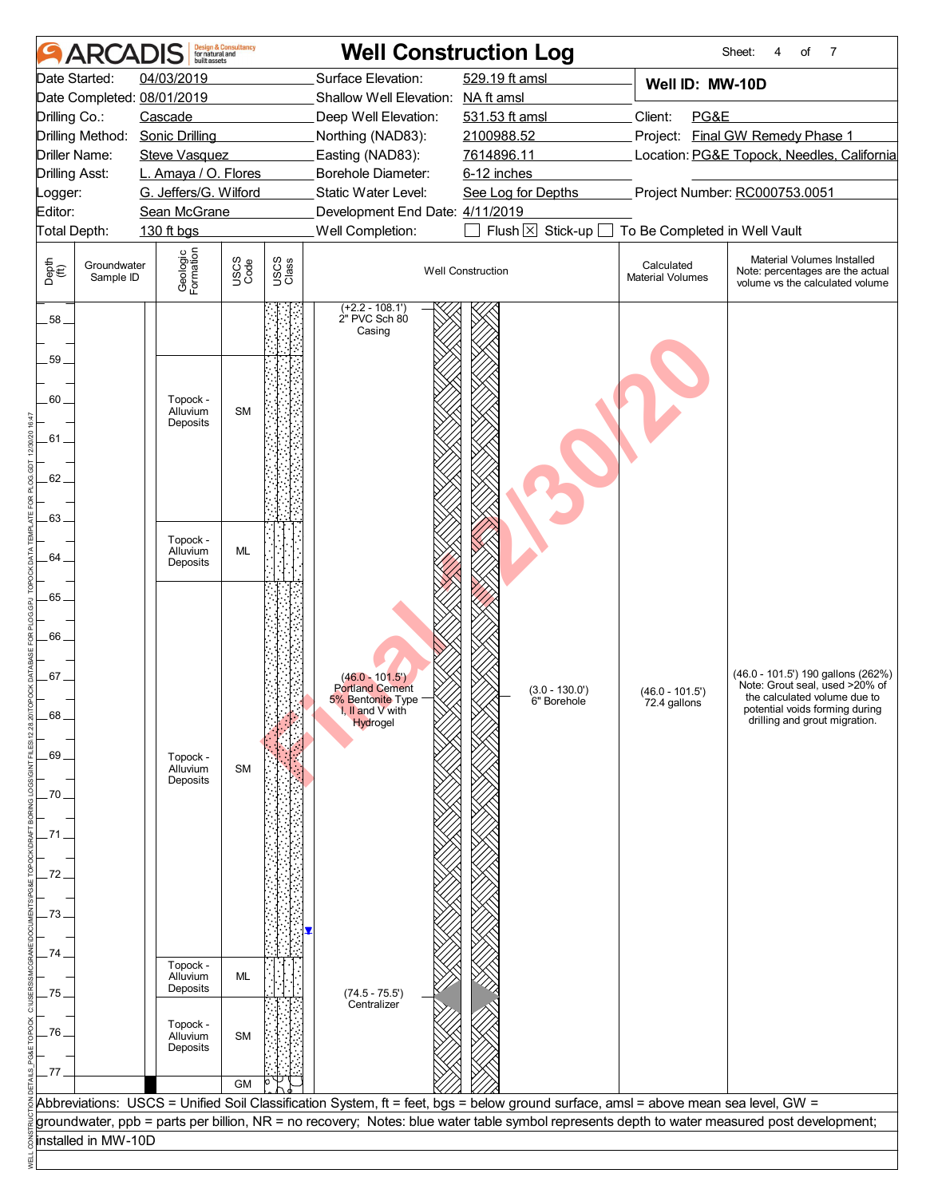|               | <b>AR</b>                | built assets                     | <b>Design &amp; Consultancy</b><br>for natural and |               | <b>Well Construction Log</b>                 |                                                                                                                                    |                                       | Sheet:<br>of<br>7<br>4                                                                                                                      |  |  |
|---------------|--------------------------|----------------------------------|----------------------------------------------------|---------------|----------------------------------------------|------------------------------------------------------------------------------------------------------------------------------------|---------------------------------------|---------------------------------------------------------------------------------------------------------------------------------------------|--|--|
|               | Date Started:            | 04/03/2019                       |                                                    |               | Surface Elevation:                           | 529.19 ft amsl                                                                                                                     | Well ID: MW-10D                       |                                                                                                                                             |  |  |
|               |                          | Date Completed: 08/01/2019       |                                                    |               | Shallow Well Elevation: NA ft amsl           |                                                                                                                                    |                                       |                                                                                                                                             |  |  |
| Drilling Co.: |                          | Cascade                          |                                                    |               | Deep Well Elevation:                         | 531.53 ft amsl                                                                                                                     | PG&E<br>Client:                       |                                                                                                                                             |  |  |
|               |                          | Drilling Method: Sonic Drilling  |                                                    |               | Northing (NAD83):                            | 2100988.52                                                                                                                         |                                       | Project: Final GW Remedy Phase 1                                                                                                            |  |  |
|               | Driller Name:            | <b>Steve Vasquez</b>             |                                                    |               | Easting (NAD83):                             | 7614896.11                                                                                                                         |                                       | Location: PG&E Topock, Needles, California                                                                                                  |  |  |
|               | <b>Drilling Asst:</b>    | L. Amaya / O. Flores             |                                                    |               | Borehole Diameter:                           | 6-12 inches                                                                                                                        |                                       |                                                                                                                                             |  |  |
| Logger:       |                          | G. Jeffers/G. Wilford            |                                                    |               | Static Water Level:                          | See Log for Depths                                                                                                                 |                                       | Project Number: RC000753.0051                                                                                                               |  |  |
| Editor:       |                          | Sean McGrane                     |                                                    |               | Development End Date: 4/11/2019              |                                                                                                                                    |                                       |                                                                                                                                             |  |  |
|               | Total Depth:             | 130 ft bgs                       |                                                    |               | Well Completion:                             | Flush $\times$ Stick-up [                                                                                                          | To Be Completed in Well Vault         |                                                                                                                                             |  |  |
| Depth<br>(ff) | Groundwater<br>Sample ID | Geologic<br>Formation            | USCS<br>Code                                       | USCS<br>Class |                                              | <b>Well Construction</b>                                                                                                           | Calculated<br><b>Material Volumes</b> | Material Volumes Installed<br>Note: percentages are the actual<br>volume vs the calculated volume                                           |  |  |
| .58.          |                          |                                  |                                                    |               | $(+2.2 - 108.1')$<br>2" PVC Sch 80<br>Casing |                                                                                                                                    |                                       |                                                                                                                                             |  |  |
| 59.           |                          |                                  |                                                    |               |                                              |                                                                                                                                    |                                       |                                                                                                                                             |  |  |
| 60.           |                          | Topock -<br>Alluvium<br>Deposits | <b>SM</b>                                          |               |                                              |                                                                                                                                    |                                       |                                                                                                                                             |  |  |
| .61.          |                          |                                  |                                                    |               |                                              |                                                                                                                                    |                                       |                                                                                                                                             |  |  |
| 62.           |                          |                                  |                                                    |               |                                              |                                                                                                                                    |                                       |                                                                                                                                             |  |  |
| .63.          |                          |                                  |                                                    |               |                                              |                                                                                                                                    |                                       |                                                                                                                                             |  |  |
|               |                          | Topock -                         |                                                    |               |                                              |                                                                                                                                    |                                       |                                                                                                                                             |  |  |
| 64            |                          | Alluvium<br>Deposits             | <b>ML</b>                                          |               |                                              |                                                                                                                                    |                                       |                                                                                                                                             |  |  |
| 65.           |                          |                                  |                                                    |               |                                              |                                                                                                                                    |                                       |                                                                                                                                             |  |  |
|               |                          |                                  |                                                    |               |                                              |                                                                                                                                    |                                       |                                                                                                                                             |  |  |
| 66.           |                          |                                  |                                                    |               |                                              |                                                                                                                                    |                                       |                                                                                                                                             |  |  |
|               |                          |                                  |                                                    |               |                                              |                                                                                                                                    |                                       |                                                                                                                                             |  |  |
| .67           |                          |                                  |                                                    |               | $(46.0 - 101.5')$<br><b>Portland Cement</b>  | $(3.0 - 130.0')$                                                                                                                   | $(46.0 - 101.5')$                     | (46.0 - 101.5') 190 gallons (262%)<br>Note: Grout seal, used >20% of                                                                        |  |  |
|               |                          |                                  |                                                    |               | 5% Bentonite Type<br>I, II and V with        | 6" Borehole                                                                                                                        | 72.4 gallons                          | the calculated volume due to<br>potential voids forming during                                                                              |  |  |
| .68           |                          |                                  |                                                    |               | Hydrogel                                     |                                                                                                                                    |                                       | drilling and grout migration.                                                                                                               |  |  |
|               |                          |                                  |                                                    |               |                                              |                                                                                                                                    |                                       |                                                                                                                                             |  |  |
| .69           |                          | Topock -<br>Alluvium             | <b>SM</b>                                          |               |                                              |                                                                                                                                    |                                       |                                                                                                                                             |  |  |
|               |                          | Deposits                         |                                                    |               |                                              |                                                                                                                                    |                                       |                                                                                                                                             |  |  |
| 70            |                          |                                  |                                                    |               |                                              |                                                                                                                                    |                                       |                                                                                                                                             |  |  |
| .71           |                          |                                  |                                                    |               |                                              |                                                                                                                                    |                                       |                                                                                                                                             |  |  |
|               |                          |                                  |                                                    |               |                                              |                                                                                                                                    |                                       |                                                                                                                                             |  |  |
| 72            |                          |                                  |                                                    |               |                                              |                                                                                                                                    |                                       |                                                                                                                                             |  |  |
|               |                          |                                  |                                                    |               |                                              |                                                                                                                                    |                                       |                                                                                                                                             |  |  |
| 73            |                          |                                  |                                                    |               |                                              |                                                                                                                                    |                                       |                                                                                                                                             |  |  |
|               |                          |                                  |                                                    |               |                                              |                                                                                                                                    |                                       |                                                                                                                                             |  |  |
| 74            |                          |                                  |                                                    |               |                                              |                                                                                                                                    |                                       |                                                                                                                                             |  |  |
|               |                          | Topock -<br>Alluvium             | ML                                                 |               |                                              |                                                                                                                                    |                                       |                                                                                                                                             |  |  |
| .75           |                          | Deposits                         |                                                    |               | $(74.5 - 75.5')$                             |                                                                                                                                    |                                       |                                                                                                                                             |  |  |
|               |                          |                                  |                                                    |               | Centralizer                                  |                                                                                                                                    |                                       |                                                                                                                                             |  |  |
| 76.           |                          | Topock -<br>Alluvium             | <b>SM</b>                                          |               |                                              |                                                                                                                                    |                                       |                                                                                                                                             |  |  |
|               |                          | Deposits                         |                                                    |               |                                              |                                                                                                                                    |                                       |                                                                                                                                             |  |  |
| _77           |                          |                                  |                                                    |               |                                              |                                                                                                                                    |                                       |                                                                                                                                             |  |  |
|               |                          |                                  | <b>GM</b>                                          |               |                                              |                                                                                                                                    |                                       |                                                                                                                                             |  |  |
|               |                          |                                  |                                                    |               |                                              | Abbreviations: USCS = Unified Soil Classification System, ft = feet, bgs = below ground surface, amsl = above mean sea level, GW = |                                       |                                                                                                                                             |  |  |
|               |                          |                                  |                                                    |               |                                              |                                                                                                                                    |                                       | groundwater, ppb = parts per billion, NR = no recovery; Notes: blue water table symbol represents depth to water measured post development; |  |  |
|               | installed in MW-10D      |                                  |                                                    |               |                                              |                                                                                                                                    |                                       |                                                                                                                                             |  |  |
|               |                          |                                  |                                                    |               |                                              |                                                                                                                                    |                                       |                                                                                                                                             |  |  |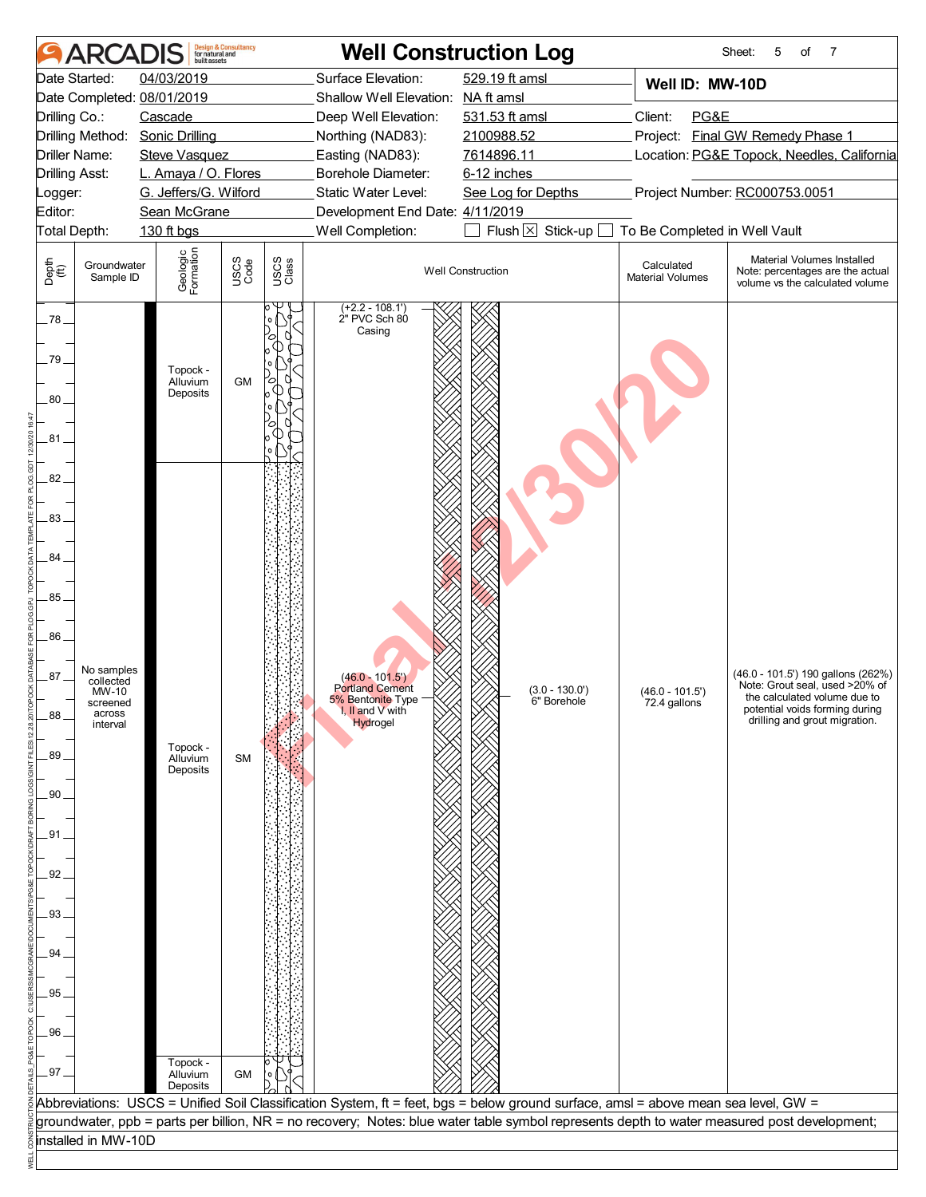| <b>AR</b>                                                                                                                                                                       | built assets                                                                                                                 | <b>Design &amp; Consultancy</b><br>for natural and |               | <b>Well Construction Log</b>                                                                                                                                                                                                  |                                                                                                                                |                                                                     | 5<br>7<br>Sheet:<br>of                                                                                                                                                  |
|---------------------------------------------------------------------------------------------------------------------------------------------------------------------------------|------------------------------------------------------------------------------------------------------------------------------|----------------------------------------------------|---------------|-------------------------------------------------------------------------------------------------------------------------------------------------------------------------------------------------------------------------------|--------------------------------------------------------------------------------------------------------------------------------|---------------------------------------------------------------------|-------------------------------------------------------------------------------------------------------------------------------------------------------------------------|
| Date Started:<br>Date Completed: 08/01/2019<br>Drilling Co.:<br>Drilling Method: Sonic Drilling<br>Driller Name:<br><b>Drilling Asst:</b><br>Logger:<br>Editor:<br>Total Depth: | 04/03/2019<br>Cascade<br><b>Steve Vasquez</b><br>L. Amaya / O. Flores<br>G. Jeffers/G. Wilford<br>Sean McGrane<br>130 ft bgs |                                                    |               | Surface Elevation:<br>Shallow Well Elevation: NA ft amsl<br>Deep Well Elevation:<br>Northing (NAD83):<br>Easting (NAD83):<br>Borehole Diameter:<br>Static Water Level:<br>Development End Date: 4/11/2019<br>Well Completion: | 529.19 ft amsl<br>531.53 ft amsl<br>2100988.52<br>7614896.11<br>6-12 inches<br>See Log for Depths<br>Flush $\times$ Stick-up [ | Well ID: MW-10D<br>Client:<br>PG&E<br>To Be Completed in Well Vault | Project: Final GW Remedy Phase 1<br>Location: PG&E Topock, Needles, California<br>Project Number: RC000753.0051                                                         |
| Depth<br>$\bigoplus_{i=1}^{n}$<br>Groundwater<br>Sample ID                                                                                                                      | Geologic<br>Formation                                                                                                        | USCS<br>Code                                       | USCS<br>Class |                                                                                                                                                                                                                               | <b>Well Construction</b>                                                                                                       | Calculated<br><b>Material Volumes</b>                               | Material Volumes Installed<br>Note: percentages are the actual<br>volume vs the calculated volume                                                                       |
| .78.<br>79.<br>$80-$<br>.81.<br>82.                                                                                                                                             | Topock -<br>Alluvium<br>Deposits                                                                                             | <b>GM</b>                                          |               | $(+2.2 - 108.1')$<br>2" PVC Sch 80<br>Casing                                                                                                                                                                                  |                                                                                                                                |                                                                     |                                                                                                                                                                         |
| 83.<br>84<br>85<br>86.<br>No samples<br>87.<br>collected<br>MW-10<br>screened<br>across<br>88<br>interval<br>89<br>.90<br>.91.<br>92<br>93<br>94<br>95.<br>96                   | Topock -<br>Alluvium<br>Deposits<br>Topock -                                                                                 | <b>SM</b>                                          |               | $(46.0 - 101.5')$<br><b>Portland Cement</b><br>5% Bentonite Type<br>I, II and V with<br>Hydrogel                                                                                                                              | $(3.0 - 130.0')$<br>6" Borehole                                                                                                | $(46.0 - 101.5')$<br>72.4 gallons                                   | (46.0 - 101.5') 190 gallons (262%)<br>Note: Grout seal, used >20% of<br>the calculated volume due to<br>potential voids forming during<br>drilling and grout migration. |
| .97.                                                                                                                                                                            | Alluvium<br>Deposits                                                                                                         | GM                                                 |               | Abbreviations: USCS = Unified Soil Classification System, ft = feet, bgs = below ground surface, amsl = above mean sea level, GW =                                                                                            |                                                                                                                                |                                                                     |                                                                                                                                                                         |
| installed in MW-10D                                                                                                                                                             |                                                                                                                              |                                                    |               |                                                                                                                                                                                                                               |                                                                                                                                |                                                                     | groundwater, ppb = parts per billion, NR = no recovery; Notes: blue water table symbol represents depth to water measured post development;                             |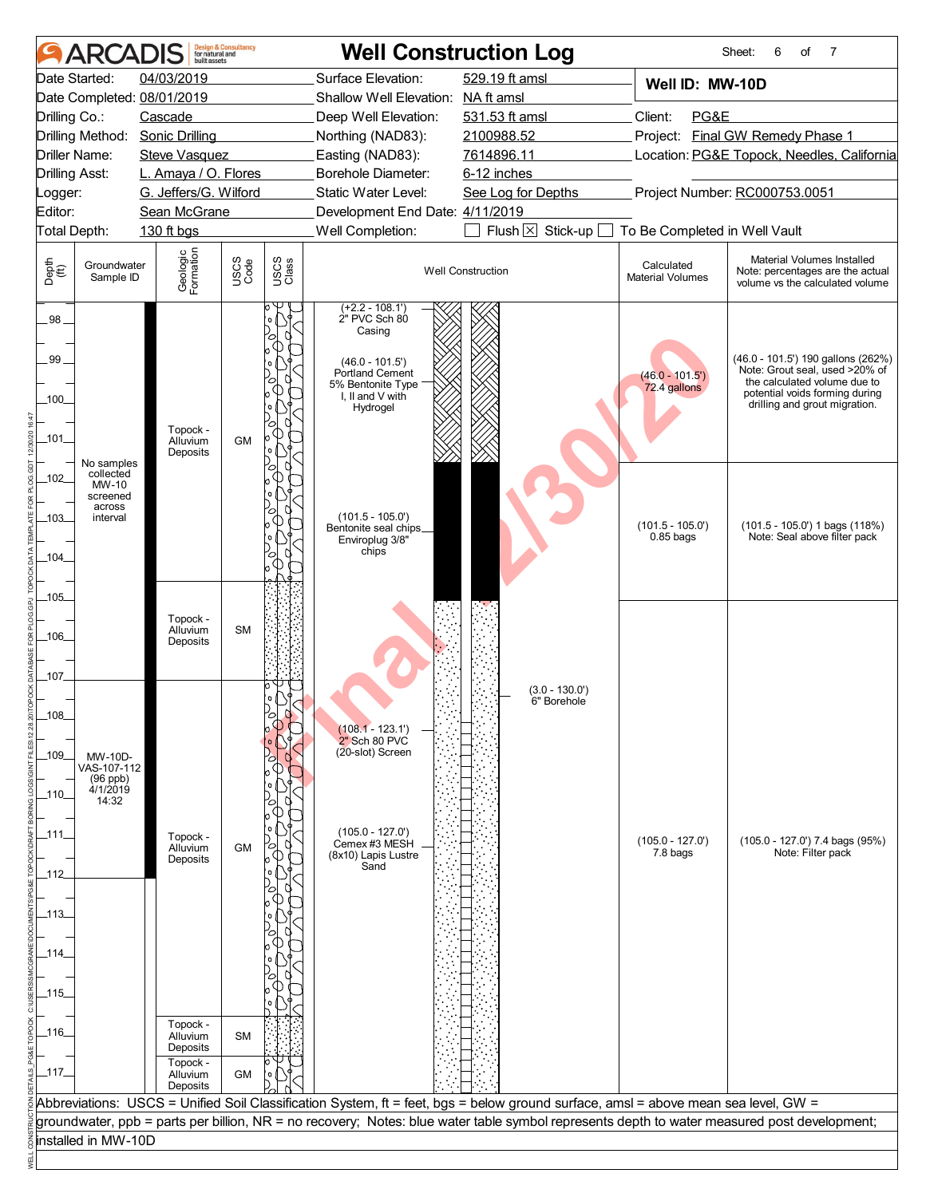|               | ARCAI                         | built assets                                            | <b>Design &amp; Consultancy</b><br>for natural and |               | <b>Well Construction Log</b>                                                                                                       |                                                           |                                       | Sheet:<br>6<br>7<br>of                                                                                                                      |  |  |  |
|---------------|-------------------------------|---------------------------------------------------------|----------------------------------------------------|---------------|------------------------------------------------------------------------------------------------------------------------------------|-----------------------------------------------------------|---------------------------------------|---------------------------------------------------------------------------------------------------------------------------------------------|--|--|--|
|               | Date Started:                 | 04/03/2019                                              |                                                    |               | Surface Elevation:                                                                                                                 | 529.19 ft amsl                                            | Well ID: MW-10D                       |                                                                                                                                             |  |  |  |
|               |                               | Date Completed: 08/01/2019                              |                                                    |               | Shallow Well Elevation: NA ft amsl                                                                                                 |                                                           |                                       |                                                                                                                                             |  |  |  |
| Drilling Co.: |                               | Cascade                                                 |                                                    |               | Deep Well Elevation:                                                                                                               | 531.53 ft amsl                                            | Client:<br>PG&E                       |                                                                                                                                             |  |  |  |
|               | Driller Name:                 | Drilling Method: Sonic Drilling<br><b>Steve Vasquez</b> |                                                    |               | Northing (NAD83):                                                                                                                  | 2100988.52<br>7614896.11                                  |                                       | Project: Final GW Remedy Phase 1                                                                                                            |  |  |  |
|               | <b>Drilling Asst:</b>         | L. Amaya / O. Flores                                    |                                                    |               | Easting (NAD83):<br>Borehole Diameter:                                                                                             | Location: PG&E Topock, Needles, California<br>6-12 inches |                                       |                                                                                                                                             |  |  |  |
| Logger:       |                               | G. Jeffers/G. Wilford                                   |                                                    |               | Static Water Level:                                                                                                                | See Log for Depths                                        | Project Number: RC000753.0051         |                                                                                                                                             |  |  |  |
| Editor:       |                               | Sean McGrane                                            |                                                    |               | Development End Date: 4/11/2019                                                                                                    |                                                           |                                       |                                                                                                                                             |  |  |  |
|               | Total Depth:                  | 130 ft bgs                                              |                                                    |               | Well Completion:                                                                                                                   | Flush $\times$ Stick-up [                                 | To Be Completed in Well Vault         |                                                                                                                                             |  |  |  |
| Depth<br>(ff) | Groundwater<br>Sample ID      | Geologic<br>Formation                                   | USCS<br>Code                                       | USCS<br>Class |                                                                                                                                    | <b>Well Construction</b>                                  | Calculated<br><b>Material Volumes</b> | Material Volumes Installed<br>Note: percentages are the actual<br>volume vs the calculated volume                                           |  |  |  |
| $.98 -$       |                               |                                                         |                                                    |               | $(+2.2 - 108.1')$<br>2" PVC Sch 80<br>Casing                                                                                       |                                                           |                                       |                                                                                                                                             |  |  |  |
| 99<br>$-100$  |                               |                                                         |                                                    |               | $(46.0 - 101.5')$<br>Portland Cement<br>5% Bentonite Type<br>I, II and V with                                                      |                                                           | $(46.0 - 101.5')$<br>72.4 gallons     | (46.0 - 101.5') 190 gallons (262%)<br>Note: Grout seal, used >20% of<br>the calculated volume due to<br>potential voids forming during      |  |  |  |
|               |                               | Topock -                                                |                                                    |               | Hydrogel                                                                                                                           |                                                           |                                       | drilling and grout migration.                                                                                                               |  |  |  |
| $\_101\_$     | No samples<br>collected       | Alluvium<br>Deposits                                    | <b>GM</b>                                          |               |                                                                                                                                    |                                                           |                                       |                                                                                                                                             |  |  |  |
| $-102$        | MW-10<br>screened<br>across   |                                                         |                                                    |               |                                                                                                                                    |                                                           |                                       |                                                                                                                                             |  |  |  |
| $-103$        | interval                      |                                                         |                                                    |               | $(101.5 - 105.0')$<br>Bentonite seal chips<br>Enviroplug 3/8"<br>chips                                                             |                                                           | $(101.5 - 105.0')$<br>$0.85$ bags     | $(101.5 - 105.0')$ 1 bags $(118%)$<br>Note: Seal above filter pack                                                                          |  |  |  |
| $-104$        |                               |                                                         |                                                    |               |                                                                                                                                    |                                                           |                                       |                                                                                                                                             |  |  |  |
| $-105$        |                               | Topock -                                                |                                                    |               |                                                                                                                                    |                                                           |                                       |                                                                                                                                             |  |  |  |
| $-106$        |                               | Alluvium<br>Deposits                                    | <b>SM</b>                                          |               |                                                                                                                                    |                                                           |                                       |                                                                                                                                             |  |  |  |
| _107_         |                               |                                                         |                                                    |               |                                                                                                                                    | $(3.0 - 130.0')$<br>6" Borehole                           |                                       |                                                                                                                                             |  |  |  |
| $-108$        |                               |                                                         |                                                    |               | $(108.1 - 123.1)$<br>2" Sch 80 PVC                                                                                                 |                                                           |                                       |                                                                                                                                             |  |  |  |
| $-109$        | MW-10D-<br>VAS-107-112        |                                                         |                                                    |               | (20-slot) Screen                                                                                                                   |                                                           |                                       |                                                                                                                                             |  |  |  |
| _110_         | (96 ppb)<br>4/1/2019<br>14:32 |                                                         |                                                    |               |                                                                                                                                    |                                                           |                                       |                                                                                                                                             |  |  |  |
| _111_         |                               | Topock -<br>Alluvium<br>Deposits                        | GM                                                 |               | $(105.0 - 127.0)$<br>Cemex #3 MESH<br>(8x10) Lapis Lustre                                                                          |                                                           | $(105.0 - 127.0')$<br>7.8 bags        | (105.0 - 127.0') 7.4 bags (95%)<br>Note: Filter pack                                                                                        |  |  |  |
| _112_         |                               |                                                         |                                                    |               | Sand                                                                                                                               |                                                           |                                       |                                                                                                                                             |  |  |  |
|               |                               |                                                         |                                                    |               |                                                                                                                                    |                                                           |                                       |                                                                                                                                             |  |  |  |
| _113_         |                               |                                                         |                                                    |               |                                                                                                                                    |                                                           |                                       |                                                                                                                                             |  |  |  |
| _114_         |                               |                                                         |                                                    |               |                                                                                                                                    |                                                           |                                       |                                                                                                                                             |  |  |  |
| _115_         |                               |                                                         |                                                    |               |                                                                                                                                    |                                                           |                                       |                                                                                                                                             |  |  |  |
| _116_         |                               | Topock -<br>Alluvium                                    | <b>SM</b>                                          |               |                                                                                                                                    |                                                           |                                       |                                                                                                                                             |  |  |  |
| _117_         |                               | Deposits<br>Topock -<br>Alluvium                        | GM                                                 |               |                                                                                                                                    |                                                           |                                       |                                                                                                                                             |  |  |  |
|               |                               | Deposits                                                |                                                    |               |                                                                                                                                    |                                                           |                                       |                                                                                                                                             |  |  |  |
|               |                               |                                                         |                                                    |               | Abbreviations: USCS = Unified Soil Classification System, ft = feet, bgs = below ground surface, amsl = above mean sea level, GW = |                                                           |                                       | groundwater, ppb = parts per billion, NR = no recovery; Notes: blue water table symbol represents depth to water measured post development; |  |  |  |
|               | installed in MW-10D           |                                                         |                                                    |               |                                                                                                                                    |                                                           |                                       |                                                                                                                                             |  |  |  |
|               |                               |                                                         |                                                    |               |                                                                                                                                    |                                                           |                                       |                                                                                                                                             |  |  |  |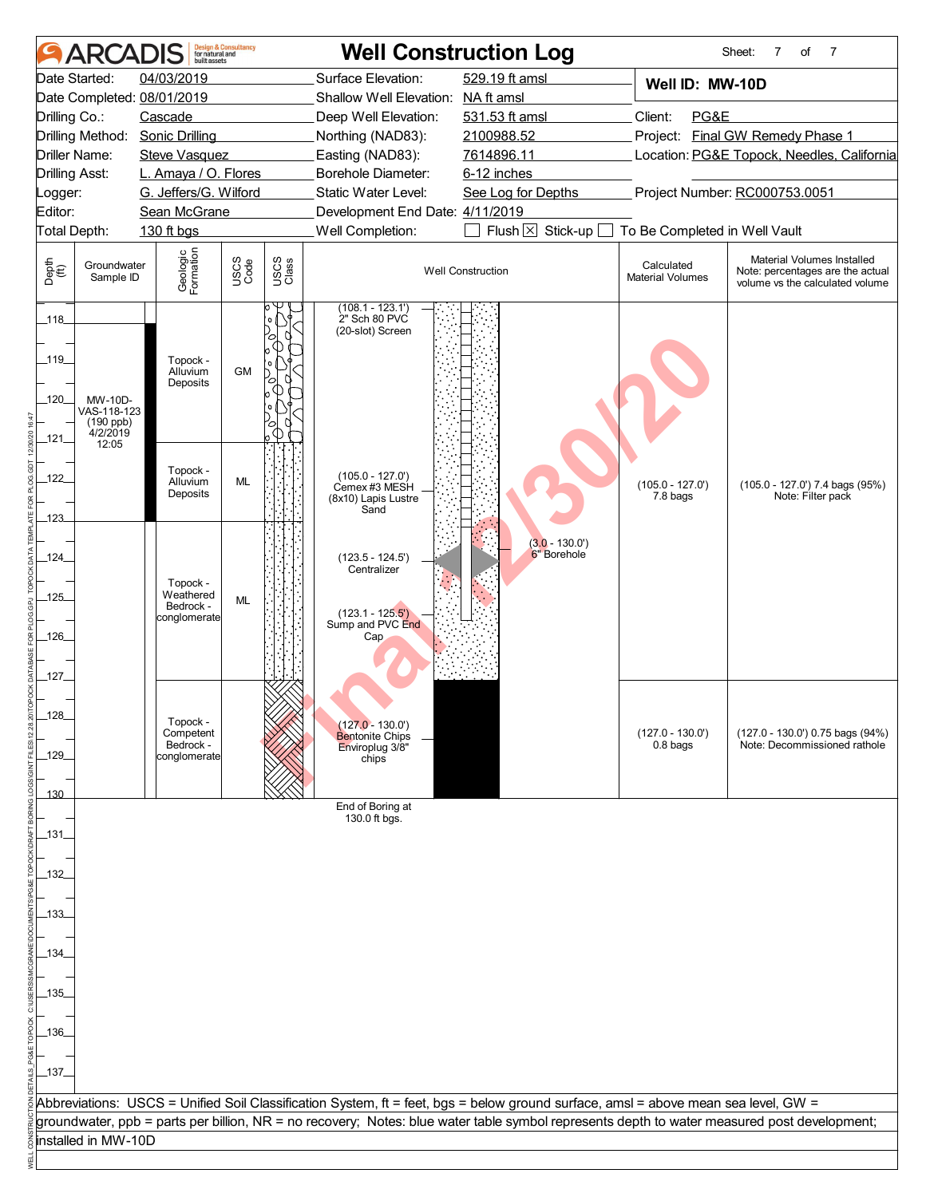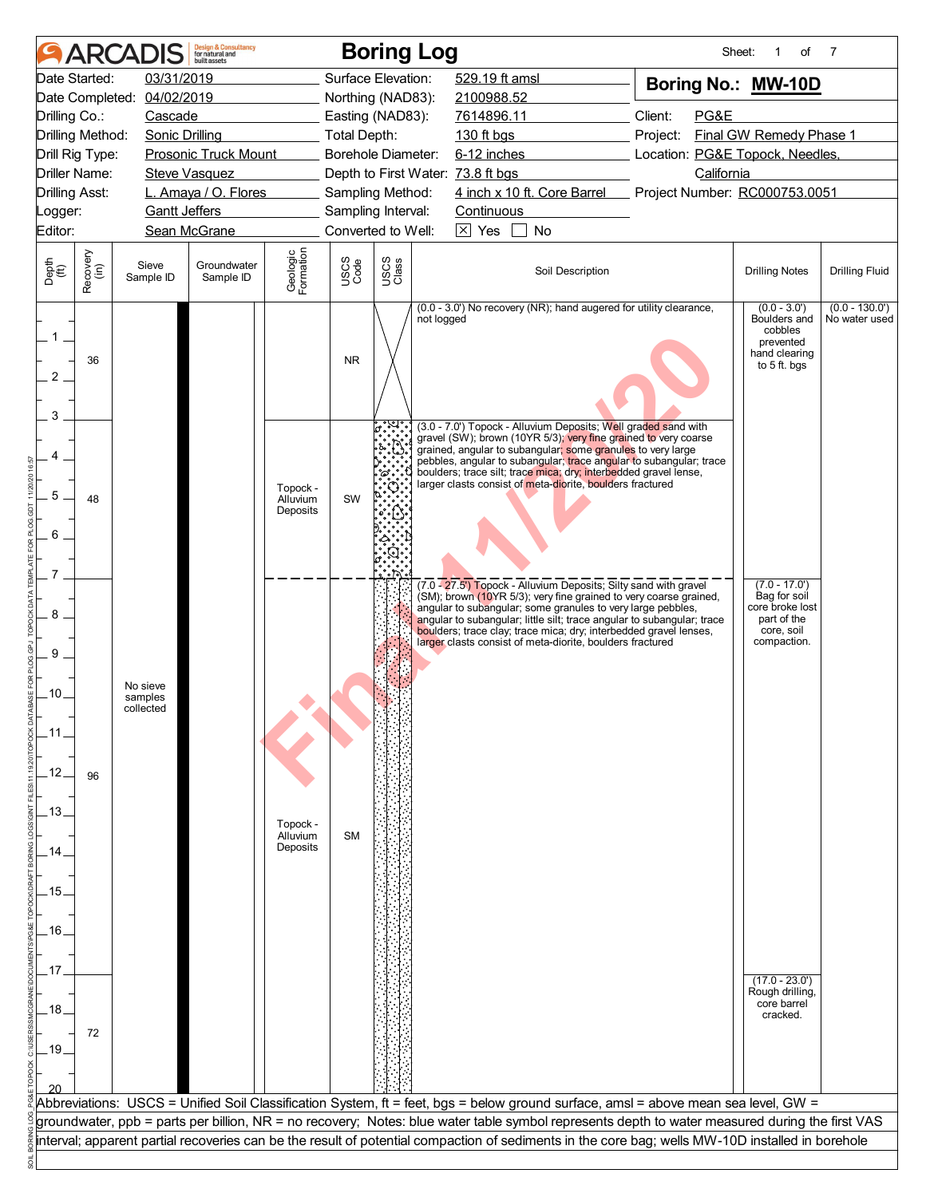|                               |                      | <b>ARCADIS</b>                   | <b>Design &amp; Consultancy</b><br>for natural and<br>built assets |                                  |                                   | <b>Boring Log</b>  |            |                   |                                                           |                                                                                                                                                                                                                                                                                                                                                     | Sheet:                              | of                                                                                             | 7                                 |
|-------------------------------|----------------------|----------------------------------|--------------------------------------------------------------------|----------------------------------|-----------------------------------|--------------------|------------|-------------------|-----------------------------------------------------------|-----------------------------------------------------------------------------------------------------------------------------------------------------------------------------------------------------------------------------------------------------------------------------------------------------------------------------------------------------|-------------------------------------|------------------------------------------------------------------------------------------------|-----------------------------------|
|                               | Date Started:        | 03/31/2019                       |                                                                    |                                  |                                   | Surface Elevation: |            | 529.19 ft amsl    |                                                           |                                                                                                                                                                                                                                                                                                                                                     |                                     | Boring No.: MW-10D                                                                             |                                   |
|                               |                      | Date Completed: 04/02/2019       |                                                                    |                                  |                                   | Northing (NAD83):  |            | 2100988.52        |                                                           |                                                                                                                                                                                                                                                                                                                                                     |                                     |                                                                                                |                                   |
| Drilling Co.:                 |                      | Cascade                          |                                                                    |                                  |                                   | Easting (NAD83):   |            | 7614896.11        |                                                           | Client:                                                                                                                                                                                                                                                                                                                                             | PG&E                                |                                                                                                |                                   |
|                               | Drilling Method:     | Sonic Drilling                   |                                                                    |                                  | Total Depth:                      |                    |            | 130 ft bgs        |                                                           |                                                                                                                                                                                                                                                                                                                                                     | Project:<br>Final GW Remedy Phase 1 |                                                                                                |                                   |
|                               | Drill Rig Type:      |                                  | Prosonic Truck Mount                                               |                                  |                                   | Borehole Diameter: |            | 6-12 inches       |                                                           | Location: PG&E Topock, Needles,                                                                                                                                                                                                                                                                                                                     |                                     |                                                                                                |                                   |
|                               | <b>Driller Name:</b> |                                  | <b>Steve Vasquez</b>                                               |                                  | Depth to First Water: 73.8 ft bgs |                    |            |                   |                                                           |                                                                                                                                                                                                                                                                                                                                                     | California                          |                                                                                                |                                   |
| <b>Drilling Asst:</b>         |                      |                                  | L. Amaya / O. Flores                                               |                                  |                                   | Sampling Method:   |            |                   |                                                           | 4 inch x 10 ft. Core Barrel Project Number: RC000753.0051                                                                                                                                                                                                                                                                                           |                                     |                                                                                                |                                   |
| Logger:                       |                      | <b>Gantt Jeffers</b>             |                                                                    |                                  |                                   | Sampling Interval: |            | <b>Continuous</b> |                                                           |                                                                                                                                                                                                                                                                                                                                                     |                                     |                                                                                                |                                   |
| Editor:                       |                      |                                  | Sean McGrane                                                       |                                  |                                   | Converted to Well: |            | $\boxtimes$ Yes   | No                                                        |                                                                                                                                                                                                                                                                                                                                                     |                                     |                                                                                                |                                   |
| Depth<br>(ft)                 | Recovery<br>(in)     | Sieve<br>Sample ID               | Groundwater<br>Sample ID                                           | Geologic<br>Formation            | USCS<br>Code                      | USCS<br>Class      |            |                   | Soil Description                                          |                                                                                                                                                                                                                                                                                                                                                     |                                     | <b>Drilling Notes</b>                                                                          | <b>Drilling Fluid</b>             |
| $1-$<br>$\overline{2}$<br>3   | 36                   |                                  |                                                                    |                                  | <b>NR</b>                         |                    | not logged |                   |                                                           | (0.0 - 3.0') No recovery (NR); hand augered for utility clearance,                                                                                                                                                                                                                                                                                  |                                     | $(0.0 - 3.0')$<br>Boulders and<br>cobbles<br>prevented<br>hand clearing<br>to 5 ft. bgs        | $(0.0 - 130.0')$<br>No water used |
| 5<br>6                        | 48                   |                                  |                                                                    | Topock -<br>Alluvium<br>Deposits | SW                                |                    |            |                   | larger clasts consist of meta-diorite, boulders fractured | (3.0 - 7.0') Topock - Alluvium Deposits; Well graded sand with<br>gravel (SW); brown (10YR 5/3); very fine grained to very coarse<br>grained, angular to subangular; some granules to very large<br>pebbles, angular to subangular; trace angular to subangular; trace<br>boulders; trace silt; trace mica; dry; interbedded gravel lense,          |                                     |                                                                                                |                                   |
| 8<br>9<br>.10.<br>.11<br>.12. |                      | No sieve<br>samples<br>collected |                                                                    |                                  |                                   |                    |            |                   | larger clasts consist of meta-diorite, boulders fractured | (7.0 - 27.5') Topock - Alluvium Deposits; Silty sand with gravel<br>(SM); brown (10YR 5/3); very fine grained to very coarse grained,<br>angular to subangular; some granules to very large pebbles,<br>angular to subangular; little silt; trace angular to subangular; trace<br>boulders; trace clay; trace mica; dry; interbedded gravel lenses, |                                     | $(7.0 - 17.0')$<br>Bag for soil<br>core broke lost<br>part of the<br>core, soil<br>compaction. |                                   |
| .13.<br>14                    | 96                   |                                  |                                                                    | Topock -<br>Alluvium<br>Deposits | <b>SM</b>                         |                    |            |                   |                                                           |                                                                                                                                                                                                                                                                                                                                                     |                                     |                                                                                                |                                   |
| .15.                          |                      |                                  |                                                                    |                                  |                                   |                    |            |                   |                                                           |                                                                                                                                                                                                                                                                                                                                                     |                                     |                                                                                                |                                   |
| .16.<br>.17                   |                      |                                  |                                                                    |                                  |                                   |                    |            |                   |                                                           |                                                                                                                                                                                                                                                                                                                                                     |                                     |                                                                                                |                                   |
| .18.<br>$-19.$                | 72                   |                                  |                                                                    |                                  |                                   |                    |            |                   |                                                           |                                                                                                                                                                                                                                                                                                                                                     |                                     | $(17.0 - 23.0')$<br>Rough drilling,<br>core barrel<br>cracked.                                 |                                   |
|                               |                      |                                  |                                                                    |                                  |                                   |                    |            |                   |                                                           | Abbreviations: USCS = Unified Soil Classification System, ft = feet, bgs = below ground surface, amsl = above mean sea level, GW =                                                                                                                                                                                                                  |                                     |                                                                                                |                                   |
|                               |                      |                                  |                                                                    |                                  |                                   |                    |            |                   |                                                           | groundwater, ppb = parts per billion, NR = no recovery; Notes: blue water table symbol represents depth to water measured during the first VAS                                                                                                                                                                                                      |                                     |                                                                                                |                                   |
|                               |                      |                                  |                                                                    |                                  |                                   |                    |            |                   |                                                           | interval; apparent partial recoveries can be the result of potential compaction of sediments in the core bag; wells MW-10D installed in borehole                                                                                                                                                                                                    |                                     |                                                                                                |                                   |
|                               |                      |                                  |                                                                    |                                  |                                   |                    |            |                   |                                                           |                                                                                                                                                                                                                                                                                                                                                     |                                     |                                                                                                |                                   |
|                               |                      |                                  |                                                                    |                                  |                                   |                    |            |                   |                                                           |                                                                                                                                                                                                                                                                                                                                                     |                                     |                                                                                                |                                   |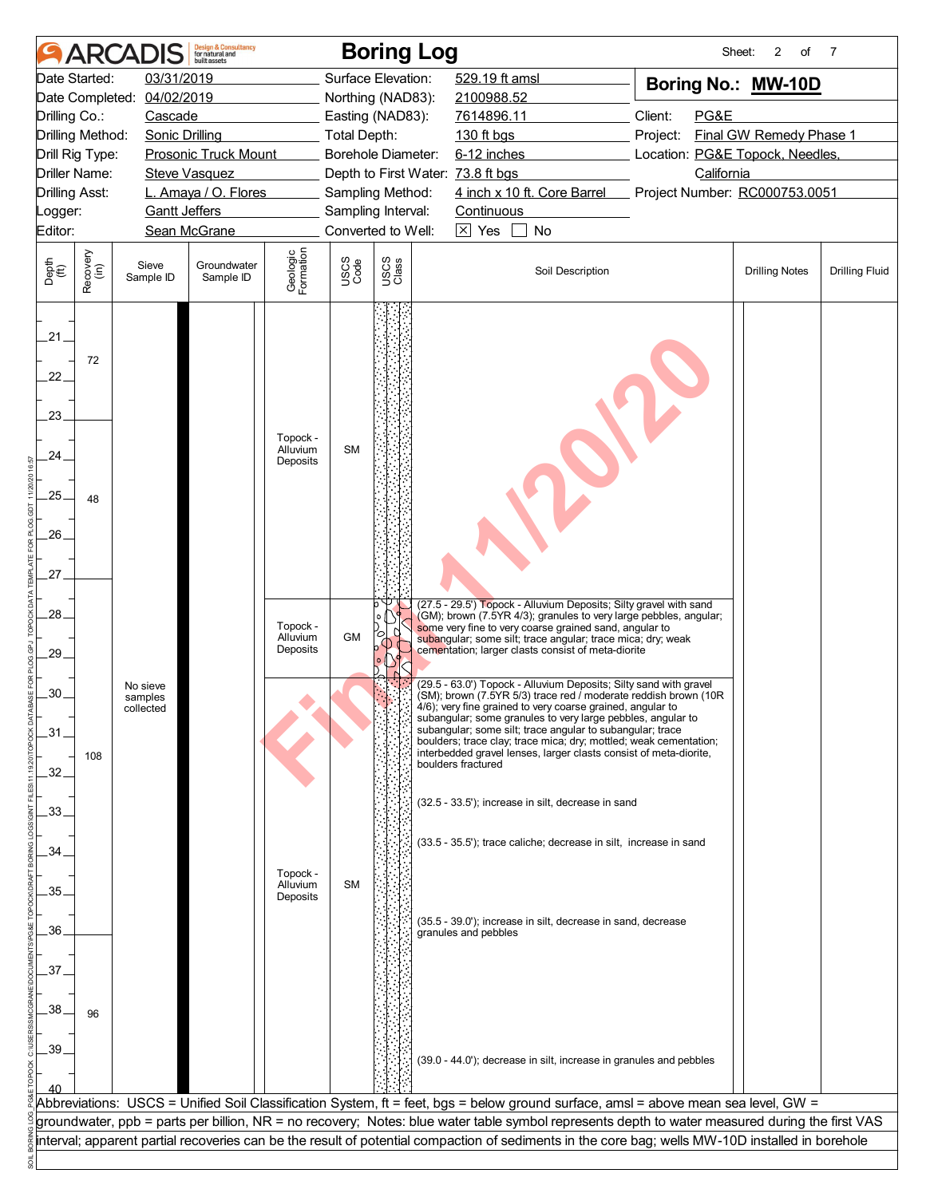|                             |                  | <b>ARCADIS</b>        | <b>Design &amp; Consultancy</b><br>for natural and<br>huilt assets |                                  |                    | <b>Boring Log</b> |                                                                                                                                                                                              | Sheet:                              | 2<br>of               | $\overline{7}$        |
|-----------------------------|------------------|-----------------------|--------------------------------------------------------------------|----------------------------------|--------------------|-------------------|----------------------------------------------------------------------------------------------------------------------------------------------------------------------------------------------|-------------------------------------|-----------------------|-----------------------|
|                             | Date Started:    | 03/31/2019            |                                                                    |                                  | Surface Elevation: |                   | 529.19 ft amsl                                                                                                                                                                               | Boring No.: MW-10D                  |                       |                       |
| Date Completed:             |                  | 04/02/2019            |                                                                    |                                  | Northing (NAD83):  |                   | 2100988.52                                                                                                                                                                                   |                                     |                       |                       |
| Drilling Co.:               |                  | Cascade               |                                                                    |                                  | Easting (NAD83):   |                   | 7614896.11                                                                                                                                                                                   | Client:<br>PG&E                     |                       |                       |
| Drilling Method:            |                  | <b>Sonic Drilling</b> |                                                                    |                                  | Total Depth:       |                   | $130$ ft bgs                                                                                                                                                                                 | Final GW Remedy Phase 1<br>Project: |                       |                       |
| Drill Rig Type:             |                  |                       | <b>Prosonic Truck Mount</b>                                        |                                  | Borehole Diameter: |                   | 6-12 inches                                                                                                                                                                                  | Location: PG&E Topock, Needles,     |                       |                       |
| <b>Driller Name:</b>        |                  |                       | <b>Steve Vasquez</b>                                               |                                  |                    |                   | Depth to First Water: 73.8 ft bgs                                                                                                                                                            | California                          |                       |                       |
| <b>Drilling Asst:</b>       |                  |                       | L. Amaya / O. Flores                                               |                                  | Sampling Method:   |                   | 4 inch x 10 ft. Core Barrel                                                                                                                                                                  | Project Number: RC000753.0051       |                       |                       |
| Logger:                     |                  | <b>Gantt Jeffers</b>  |                                                                    |                                  | Sampling Interval: |                   | Continuous                                                                                                                                                                                   |                                     |                       |                       |
| Editor:                     |                  |                       | Sean McGrane                                                       |                                  | Converted to Well: |                   | $\overline{\times}$ Yes<br>No                                                                                                                                                                |                                     |                       |                       |
|                             |                  |                       |                                                                    |                                  |                    |                   |                                                                                                                                                                                              |                                     |                       |                       |
| Depth<br>$\widetilde{f(t)}$ | Recovery<br>(in) | Sieve<br>Sample ID    | Groundwater<br>Sample ID                                           | Geologic<br>Formation            | USCS<br>Code       | USCS<br>Class     | Soil Description                                                                                                                                                                             |                                     | <b>Drilling Notes</b> | <b>Drilling Fluid</b> |
| $21 -$<br>22.<br>23.        | 72               |                       |                                                                    |                                  |                    |                   |                                                                                                                                                                                              |                                     |                       |                       |
| 24                          |                  |                       |                                                                    | Topock -<br>Alluvium<br>Deposits | <b>SM</b>          |                   |                                                                                                                                                                                              |                                     |                       |                       |
| 25.                         | 48               |                       |                                                                    |                                  |                    |                   |                                                                                                                                                                                              |                                     |                       |                       |
| 26                          |                  |                       |                                                                    |                                  |                    |                   |                                                                                                                                                                                              |                                     |                       |                       |
| 27.                         |                  |                       |                                                                    |                                  |                    |                   |                                                                                                                                                                                              |                                     |                       |                       |
| 28.                         |                  |                       |                                                                    |                                  |                    |                   | (27.5 - 29.5') Topock - Alluvium Deposits; Silty gravel with sand<br>(GM); brown (7.5YR 4/3); granules to very large pebbles, angular;                                                       |                                     |                       |                       |
| 29.                         |                  |                       |                                                                    | Topock -<br>Alluvium<br>Deposits | <b>GM</b>          | 0                 | some very fine to very coarse grained sand, angular to<br>subangular; some silt; trace angular; trace mica; dry; weak<br>cementation; larger clasts consist of meta-diorite                  |                                     |                       |                       |
|                             |                  | No sieve              |                                                                    |                                  |                    |                   | (29.5 - 63.0') Topock - Alluvium Deposits; Silty sand with gravel                                                                                                                            |                                     |                       |                       |
| .30                         |                  | samples<br>collected  |                                                                    |                                  |                    |                   | (SM); brown (7.5YR 5/3) trace red / moderate reddish brown (10R<br>4/6); very fine grained to very coarse grained, angular to<br>subangular; some granules to very large pebbles, angular to |                                     |                       |                       |
| $-31$                       |                  |                       |                                                                    |                                  |                    |                   | subangular; some silt; trace angular to subangular; trace<br>boulders; trace clay; trace mica; dry; mottled; weak cementation;                                                               |                                     |                       |                       |
|                             | 108              |                       |                                                                    |                                  |                    |                   | interbedded gravel lenses, larger clasts consist of meta-diorite,                                                                                                                            |                                     |                       |                       |
| 32.                         |                  |                       |                                                                    |                                  |                    |                   | boulders fractured                                                                                                                                                                           |                                     |                       |                       |
| 33.                         |                  |                       |                                                                    |                                  |                    |                   | (32.5 - 33.5'); increase in silt, decrease in sand                                                                                                                                           |                                     |                       |                       |
| 34                          |                  |                       |                                                                    |                                  |                    |                   | (33.5 - 35.5'); trace caliche; decrease in silt, increase in sand                                                                                                                            |                                     |                       |                       |
|                             |                  |                       |                                                                    | Topock -                         |                    |                   |                                                                                                                                                                                              |                                     |                       |                       |
| 35.                         |                  |                       |                                                                    | Alluvium<br>Deposits             | <b>SM</b>          |                   |                                                                                                                                                                                              |                                     |                       |                       |
|                             |                  |                       |                                                                    |                                  |                    |                   | (35.5 - 39.0'); increase in silt, decrease in sand, decrease                                                                                                                                 |                                     |                       |                       |
| 36.                         |                  |                       |                                                                    |                                  |                    |                   | granules and pebbles                                                                                                                                                                         |                                     |                       |                       |
|                             |                  |                       |                                                                    |                                  |                    |                   |                                                                                                                                                                                              |                                     |                       |                       |
| .37                         |                  |                       |                                                                    |                                  |                    |                   |                                                                                                                                                                                              |                                     |                       |                       |
|                             |                  |                       |                                                                    |                                  |                    |                   |                                                                                                                                                                                              |                                     |                       |                       |
| 38.                         | 96               |                       |                                                                    |                                  |                    |                   |                                                                                                                                                                                              |                                     |                       |                       |
|                             |                  |                       |                                                                    |                                  |                    |                   |                                                                                                                                                                                              |                                     |                       |                       |
| 39                          |                  |                       |                                                                    |                                  |                    |                   | (39.0 - 44.0'); decrease in silt, increase in granules and pebbles                                                                                                                           |                                     |                       |                       |
|                             |                  |                       |                                                                    |                                  |                    |                   |                                                                                                                                                                                              |                                     |                       |                       |
|                             |                  |                       |                                                                    |                                  |                    |                   |                                                                                                                                                                                              |                                     |                       |                       |
|                             |                  |                       |                                                                    |                                  |                    |                   | Abbreviations: USCS = Unified Soil Classification System, ft = feet, bgs = below ground surface, amsl = above mean sea level, GW =                                                           |                                     |                       |                       |
|                             |                  |                       |                                                                    |                                  |                    |                   | groundwater, ppb = parts per billion, NR = no recovery; Notes: blue water table symbol represents depth to water measured during the first VAS                                               |                                     |                       |                       |
|                             |                  |                       |                                                                    |                                  |                    |                   | interval; apparent partial recoveries can be the result of potential compaction of sediments in the core bag; wells MW-10D installed in borehole                                             |                                     |                       |                       |
|                             |                  |                       |                                                                    |                                  |                    |                   |                                                                                                                                                                                              |                                     |                       |                       |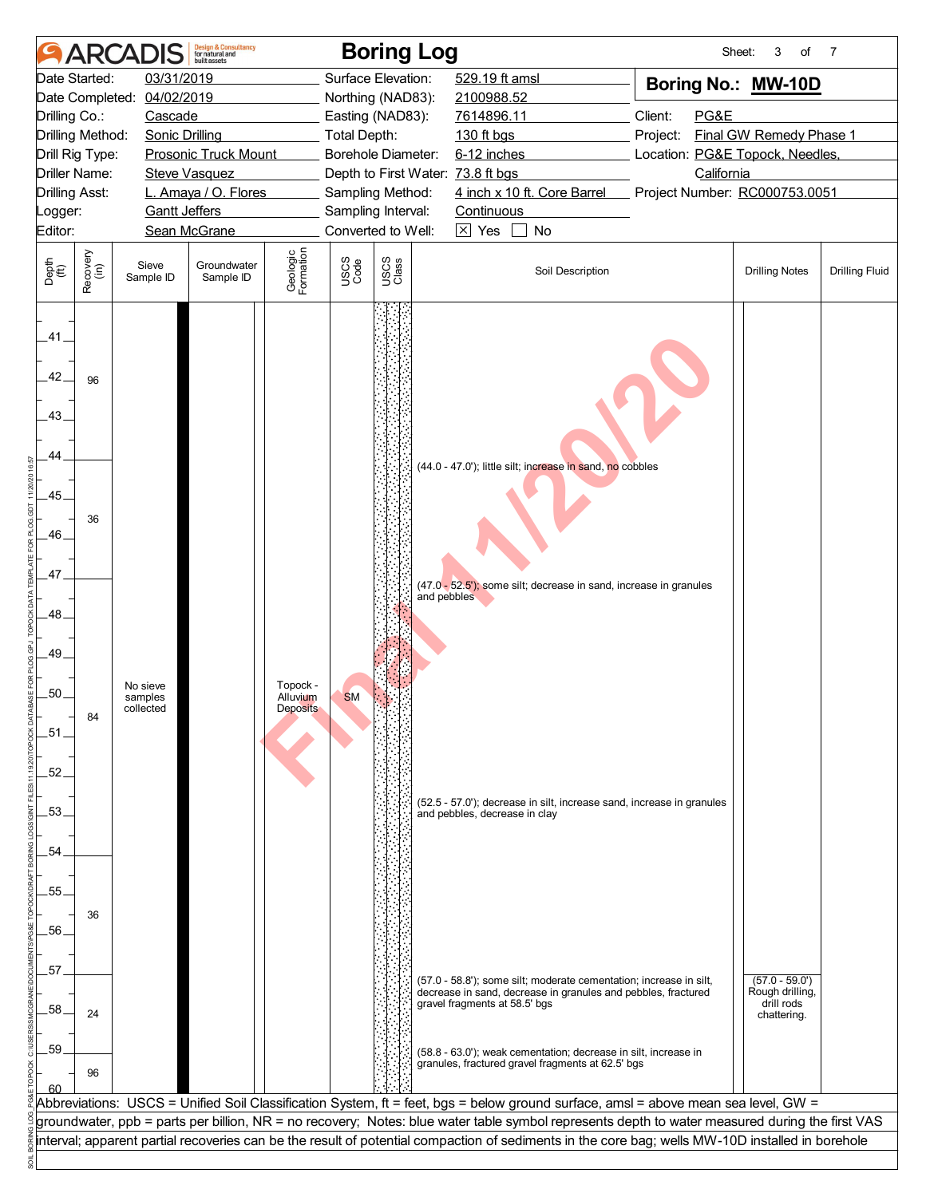|                          |                  | <b>ARCADI</b>         | <b>Design &amp; Consultancy</b><br>for natural and<br>huilt assets |                       |              | <b>Boring Log</b>                 |                                                                                                                                                  | Sheet:                              | 3<br>of                       | 7                     |
|--------------------------|------------------|-----------------------|--------------------------------------------------------------------|-----------------------|--------------|-----------------------------------|--------------------------------------------------------------------------------------------------------------------------------------------------|-------------------------------------|-------------------------------|-----------------------|
| Date Started:            |                  | 03/31/2019            |                                                                    |                       |              | Surface Elevation:                | 529.19 ft amsl                                                                                                                                   | Boring No.: MW-10D                  |                               |                       |
| Date Completed:          |                  | 04/02/2019            |                                                                    |                       |              | Northing (NAD83):                 | 2100988.52                                                                                                                                       |                                     |                               |                       |
| Drilling Co.:            |                  | Cascade               |                                                                    |                       |              | Easting (NAD83):                  | 7614896.11                                                                                                                                       | Client:<br>PG&E                     |                               |                       |
| Drilling Method:         |                  | <b>Sonic Drilling</b> |                                                                    |                       | Total Depth: |                                   | 130 ft bgs                                                                                                                                       | Final GW Remedy Phase 1<br>Project: |                               |                       |
| Drill Rig Type:          |                  |                       | <b>Prosonic Truck Mount</b>                                        |                       |              | Borehole Diameter:                | 6-12 inches                                                                                                                                      | Location: PG&E Topock, Needles,     |                               |                       |
| <b>Driller Name:</b>     |                  |                       | <b>Steve Vasquez</b>                                               |                       |              | Depth to First Water: 73.8 ft bgs |                                                                                                                                                  | California                          |                               |                       |
| <b>Drilling Asst:</b>    |                  |                       | L. Amaya / O. Flores                                               |                       |              | Sampling Method:                  | 4 inch x 10 ft. Core Barrel                                                                                                                      | Project Number: RC000753.0051       |                               |                       |
| Logger:                  |                  | <b>Gantt Jeffers</b>  |                                                                    |                       |              | Sampling Interval:                | Continuous                                                                                                                                       |                                     |                               |                       |
| Editor:                  |                  |                       | Sean McGrane                                                       |                       |              | Converted to Well:                | $\overline{\times}$ Yes<br>No                                                                                                                    |                                     |                               |                       |
| Depth<br>(ft)            | Recovery<br>(in) | Sieve<br>Sample ID    | Groundwater<br>Sample ID                                           | Geologic<br>Formation | USCS<br>Code | USCS<br>Class                     | Soil Description                                                                                                                                 |                                     | <b>Drilling Notes</b>         | <b>Drilling Fluid</b> |
| .41.<br>42.<br>43.<br>44 | 96               |                       |                                                                    |                       |              |                                   |                                                                                                                                                  |                                     |                               |                       |
|                          |                  |                       |                                                                    |                       |              |                                   | (44.0 - 47.0'); little silt; increase in sand, no cobbles                                                                                        |                                     |                               |                       |
| .45.                     |                  |                       |                                                                    |                       |              |                                   |                                                                                                                                                  |                                     |                               |                       |
|                          |                  |                       |                                                                    |                       |              |                                   |                                                                                                                                                  |                                     |                               |                       |
| .46.                     | 36               |                       |                                                                    |                       |              |                                   |                                                                                                                                                  |                                     |                               |                       |
|                          |                  |                       |                                                                    |                       |              |                                   |                                                                                                                                                  |                                     |                               |                       |
| .47.                     |                  |                       |                                                                    |                       |              |                                   |                                                                                                                                                  |                                     |                               |                       |
|                          |                  |                       |                                                                    |                       |              | and pebbles                       | (47.0 - 52.5'); some silt; decrease in sand, increase in granules                                                                                |                                     |                               |                       |
| 48                       |                  |                       |                                                                    |                       |              |                                   |                                                                                                                                                  |                                     |                               |                       |
|                          |                  |                       |                                                                    |                       |              |                                   |                                                                                                                                                  |                                     |                               |                       |
| 49.                      |                  |                       |                                                                    |                       |              |                                   |                                                                                                                                                  |                                     |                               |                       |
|                          |                  |                       |                                                                    |                       |              |                                   |                                                                                                                                                  |                                     |                               |                       |
| .50                      |                  | No sieve              |                                                                    | Topock -              |              |                                   |                                                                                                                                                  |                                     |                               |                       |
|                          |                  | samples<br>collected  |                                                                    | Alluvium<br>Deposits  | <b>SM</b>    |                                   |                                                                                                                                                  |                                     |                               |                       |
| 51                       | 84               |                       |                                                                    |                       |              |                                   |                                                                                                                                                  |                                     |                               |                       |
|                          |                  |                       |                                                                    |                       |              |                                   |                                                                                                                                                  |                                     |                               |                       |
| .52.                     |                  |                       |                                                                    |                       |              |                                   |                                                                                                                                                  |                                     |                               |                       |
|                          |                  |                       |                                                                    |                       |              |                                   |                                                                                                                                                  |                                     |                               |                       |
| 53.                      |                  |                       |                                                                    |                       |              |                                   | (52.5 - 57.0'); decrease in silt, increase sand, increase in granules                                                                            |                                     |                               |                       |
|                          |                  |                       |                                                                    |                       |              |                                   | and pebbles, decrease in clay                                                                                                                    |                                     |                               |                       |
| .54                      |                  |                       |                                                                    |                       |              |                                   |                                                                                                                                                  |                                     |                               |                       |
|                          |                  |                       |                                                                    |                       |              |                                   |                                                                                                                                                  |                                     |                               |                       |
|                          |                  |                       |                                                                    |                       |              |                                   |                                                                                                                                                  |                                     |                               |                       |
| 55.                      |                  |                       |                                                                    |                       |              |                                   |                                                                                                                                                  |                                     |                               |                       |
| .56.                     | 36               |                       |                                                                    |                       |              |                                   |                                                                                                                                                  |                                     |                               |                       |
|                          |                  |                       |                                                                    |                       |              |                                   |                                                                                                                                                  |                                     |                               |                       |
|                          |                  |                       |                                                                    |                       |              |                                   |                                                                                                                                                  |                                     |                               |                       |
| .57                      |                  |                       |                                                                    |                       |              |                                   | (57.0 - 58.8'); some silt; moderate cementation; increase in silt,                                                                               |                                     | $(57.0 - 59.0')$              |                       |
|                          |                  |                       |                                                                    |                       |              |                                   | decrease in sand, decrease in granules and pebbles, fractured<br>gravel fragments at 58.5' bgs                                                   |                                     | Rough drilling,<br>drill rods |                       |
| .58                      | 24               |                       |                                                                    |                       |              |                                   |                                                                                                                                                  |                                     | chattering.                   |                       |
|                          |                  |                       |                                                                    |                       |              |                                   |                                                                                                                                                  |                                     |                               |                       |
| .59                      |                  |                       |                                                                    |                       |              |                                   | (58.8 - 63.0'); weak cementation; decrease in silt, increase in<br>granules, fractured gravel fragments at 62.5' bgs                             |                                     |                               |                       |
|                          | 96               |                       |                                                                    |                       |              |                                   |                                                                                                                                                  |                                     |                               |                       |
| 60                       |                  |                       |                                                                    |                       |              |                                   | Abbreviations: USCS = Unified Soil Classification System, ft = feet, bgs = below ground surface, amsl = above mean sea level, GW =               |                                     |                               |                       |
|                          |                  |                       |                                                                    |                       |              |                                   | groundwater, ppb = parts per billion, NR = no recovery; Notes: blue water table symbol represents depth to water measured during the first VAS   |                                     |                               |                       |
|                          |                  |                       |                                                                    |                       |              |                                   | interval; apparent partial recoveries can be the result of potential compaction of sediments in the core bag; wells MW-10D installed in borehole |                                     |                               |                       |
|                          |                  |                       |                                                                    |                       |              |                                   |                                                                                                                                                  |                                     |                               |                       |
|                          |                  |                       |                                                                    |                       |              |                                   |                                                                                                                                                  |                                     |                               |                       |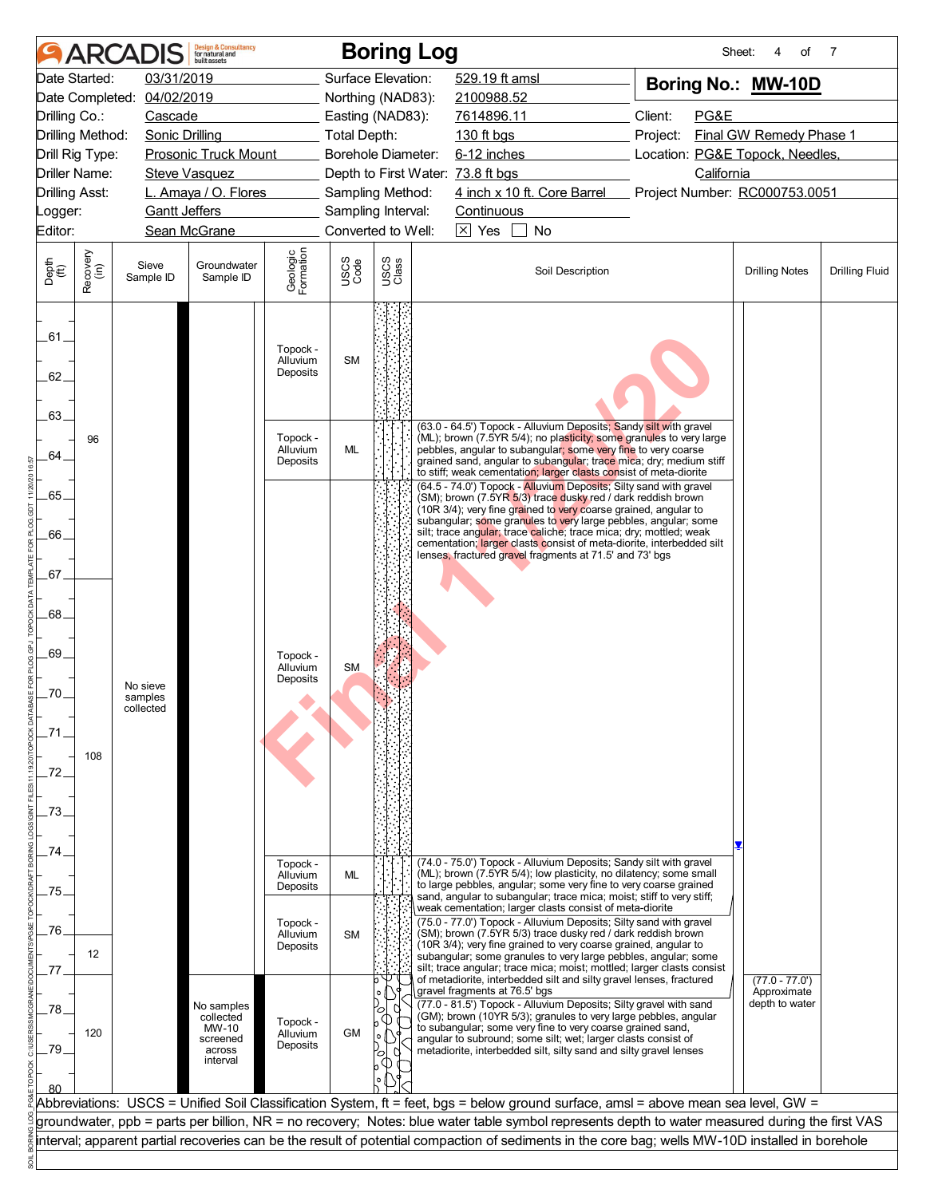|                             |                      | <b>ARCADIS</b>                   | <b>Design &amp; Consultancy</b><br>for natural and<br>huilt assets |                                  |                    |                        | <b>Boring Log</b>                                                                                                                                                                                                                                                                                                                                                                                                                                | Sheet:                              | 4<br>of                                           | 7                     |
|-----------------------------|----------------------|----------------------------------|--------------------------------------------------------------------|----------------------------------|--------------------|------------------------|--------------------------------------------------------------------------------------------------------------------------------------------------------------------------------------------------------------------------------------------------------------------------------------------------------------------------------------------------------------------------------------------------------------------------------------------------|-------------------------------------|---------------------------------------------------|-----------------------|
|                             | Date Started:        | 03/31/2019                       |                                                                    |                                  | Surface Elevation: |                        | 529.19 ft amsl                                                                                                                                                                                                                                                                                                                                                                                                                                   | Boring No.: MW-10D                  |                                                   |                       |
|                             | Date Completed:      | 04/02/2019                       |                                                                    |                                  | Northing (NAD83):  |                        | 2100988.52                                                                                                                                                                                                                                                                                                                                                                                                                                       |                                     |                                                   |                       |
| Drilling Co.:               |                      | Cascade                          |                                                                    |                                  | Easting (NAD83):   |                        | 7614896.11                                                                                                                                                                                                                                                                                                                                                                                                                                       | Client:<br>PG&E                     |                                                   |                       |
|                             | Drilling Method:     | <b>Sonic Drilling</b>            |                                                                    |                                  | Total Depth:       |                        | 130 ft bgs                                                                                                                                                                                                                                                                                                                                                                                                                                       | Final GW Remedy Phase 1<br>Project: |                                                   |                       |
|                             | Drill Rig Type:      |                                  | <b>Prosonic Truck Mount</b>                                        |                                  | Borehole Diameter: |                        | 6-12 inches                                                                                                                                                                                                                                                                                                                                                                                                                                      | Location: PG&E Topock, Needles,     |                                                   |                       |
|                             | <b>Driller Name:</b> |                                  | <b>Steve Vasquez</b>                                               |                                  |                    |                        | Depth to First Water: 73.8 ft bgs                                                                                                                                                                                                                                                                                                                                                                                                                | California                          |                                                   |                       |
| <b>Drilling Asst:</b>       |                      |                                  | L. Amaya / O. Flores                                               |                                  | Sampling Method:   |                        | 4 inch x 10 ft. Core Barrel Project Number: RC000753.0051                                                                                                                                                                                                                                                                                                                                                                                        |                                     |                                                   |                       |
| Logger:                     |                      | <b>Gantt Jeffers</b>             |                                                                    |                                  | Sampling Interval: |                        | Continuous                                                                                                                                                                                                                                                                                                                                                                                                                                       |                                     |                                                   |                       |
| Editor:                     |                      |                                  | Sean McGrane                                                       |                                  | Converted to Well: |                        | $\boxtimes$ Yes<br>No                                                                                                                                                                                                                                                                                                                                                                                                                            |                                     |                                                   |                       |
| Depth<br>$\widetilde{f(t)}$ | Recovery<br>(in)     | Sieve<br>Sample ID               | Groundwater<br>Sample ID                                           | Geologic<br>Formation            | USCS<br>Code       | USCS<br>Class          | Soil Description                                                                                                                                                                                                                                                                                                                                                                                                                                 |                                     | <b>Drilling Notes</b>                             | <b>Drilling Fluid</b> |
| .61.<br>62.                 |                      |                                  |                                                                    | Topock -<br>Alluvium<br>Deposits | <b>SM</b>          |                        |                                                                                                                                                                                                                                                                                                                                                                                                                                                  |                                     |                                                   |                       |
| .63.                        |                      |                                  |                                                                    |                                  |                    |                        | (63.0 - 64.5') Topock - Alluvium Deposits; Sandy silt with gravel                                                                                                                                                                                                                                                                                                                                                                                |                                     |                                                   |                       |
| 64.                         | 96                   |                                  |                                                                    | Topock -<br>Alluvium<br>Deposits | ML                 |                        | (ML); brown (7.5YR 5/4); no plasticity; some granules to very large<br>pebbles, angular to subangular; some very fine to very coarse<br>grained sand, angular to subangular; trace mica; dry; medium stiff<br>to stiff; weak cementation; larger clasts consist of meta-diorite<br>(64.5 - 74.0') Topock - Alluvium Deposits; Silty sand with gravel                                                                                             |                                     |                                                   |                       |
| 65.<br>66.                  |                      |                                  |                                                                    |                                  |                    |                        | (SM); brown (7.5YR 5/3) trace dusky red / dark reddish brown<br>(10R 3/4); very fine grained to very coarse grained, angular to<br>subangular; some granules to very large pebbles, angular; some<br>silt; trace angular; trace caliche; trace mica; dry; mottled; weak                                                                                                                                                                          |                                     |                                                   |                       |
| .67.                        |                      |                                  |                                                                    |                                  |                    |                        | cementation; larger clasts consist of meta-diorite, interbedded silt<br>lenses, fractured gravel fragments at 71.5' and 73' bgs                                                                                                                                                                                                                                                                                                                  |                                     |                                                   |                       |
| .68                         |                      |                                  |                                                                    |                                  |                    |                        |                                                                                                                                                                                                                                                                                                                                                                                                                                                  |                                     |                                                   |                       |
| .69.                        |                      |                                  |                                                                    | Topock -<br>Alluvium             | <b>SM</b>          |                        |                                                                                                                                                                                                                                                                                                                                                                                                                                                  |                                     |                                                   |                       |
| .70.                        |                      | No sieve<br>samples<br>collected |                                                                    | Deposits                         |                    |                        |                                                                                                                                                                                                                                                                                                                                                                                                                                                  |                                     |                                                   |                       |
|                             | 108                  |                                  |                                                                    |                                  |                    |                        |                                                                                                                                                                                                                                                                                                                                                                                                                                                  |                                     |                                                   |                       |
| .72.<br>73                  |                      |                                  |                                                                    |                                  |                    |                        |                                                                                                                                                                                                                                                                                                                                                                                                                                                  |                                     |                                                   |                       |
| 74                          |                      |                                  |                                                                    | Topock -                         |                    |                        | (74.0 - 75.0') Topock - Alluvium Deposits; Sandy silt with gravel                                                                                                                                                                                                                                                                                                                                                                                |                                     |                                                   |                       |
| 75                          |                      |                                  |                                                                    | Alluvium<br>Deposits             | <b>ML</b>          |                        | (ML); brown (7.5YR 5/4); low plasticity, no dilatency; some small<br>to large pebbles, angular; some very fine to very coarse grained<br>sand, angular to subangular; trace mica; moist; stiff to very stiff;<br>weak cementation; larger clasts consist of meta-diorite                                                                                                                                                                         |                                     |                                                   |                       |
| 76                          |                      |                                  |                                                                    | Topock -                         |                    |                        | (75.0 - 77.0') Topock - Alluvium Deposits; Silty sand with gravel                                                                                                                                                                                                                                                                                                                                                                                |                                     |                                                   |                       |
|                             | 12                   |                                  |                                                                    | Alluvium<br>Deposits             | <b>SM</b>          |                        | (SM); brown (7.5YR 5/3) trace dusky red / dark reddish brown<br>(10R 3/4); very fine grained to very coarse grained, angular to<br>subangular; some granules to very large pebbles, angular; some<br>silt; trace angular; trace mica; moist; mottled; larger clasts consist                                                                                                                                                                      |                                     |                                                   |                       |
| .78<br>79                   | 120                  |                                  | No samples<br>collected<br>MW-10<br>screened<br>across             | Topock -<br>Alluvium<br>Deposits | <b>GM</b>          | $\mathsf{o}$<br>U<br>О | of metadiorite, interbedded silt and silty gravel lenses, fractured<br>gravel fragments at 76.5' bgs<br>(77.0 - 81.5') Topock - Alluvium Deposits; Silty gravel with sand<br>(GM); brown (10YR 5/3); granules to very large pebbles, angular<br>to subangular; some very fine to very coarse grained sand,<br>angular to subround; some silt; wet; larger clasts consist of<br>metadiorite, interbedded silt, silty sand and silty gravel lenses |                                     | $(77.0 - 77.0')$<br>Approximate<br>depth to water |                       |
|                             |                      |                                  | interval                                                           |                                  |                    |                        |                                                                                                                                                                                                                                                                                                                                                                                                                                                  |                                     |                                                   |                       |
|                             |                      |                                  |                                                                    |                                  |                    |                        | Abbreviations: USCS = Unified Soil Classification System, ft = feet, bgs = below ground surface, amsl = above mean sea level, GW =                                                                                                                                                                                                                                                                                                               |                                     |                                                   |                       |
|                             |                      |                                  |                                                                    |                                  |                    |                        | groundwater, ppb = parts per billion, NR = no recovery; Notes: blue water table symbol represents depth to water measured during the first VAS<br>interval; apparent partial recoveries can be the result of potential compaction of sediments in the core bag; wells MW-10D installed in borehole                                                                                                                                               |                                     |                                                   |                       |
|                             |                      |                                  |                                                                    |                                  |                    |                        |                                                                                                                                                                                                                                                                                                                                                                                                                                                  |                                     |                                                   |                       |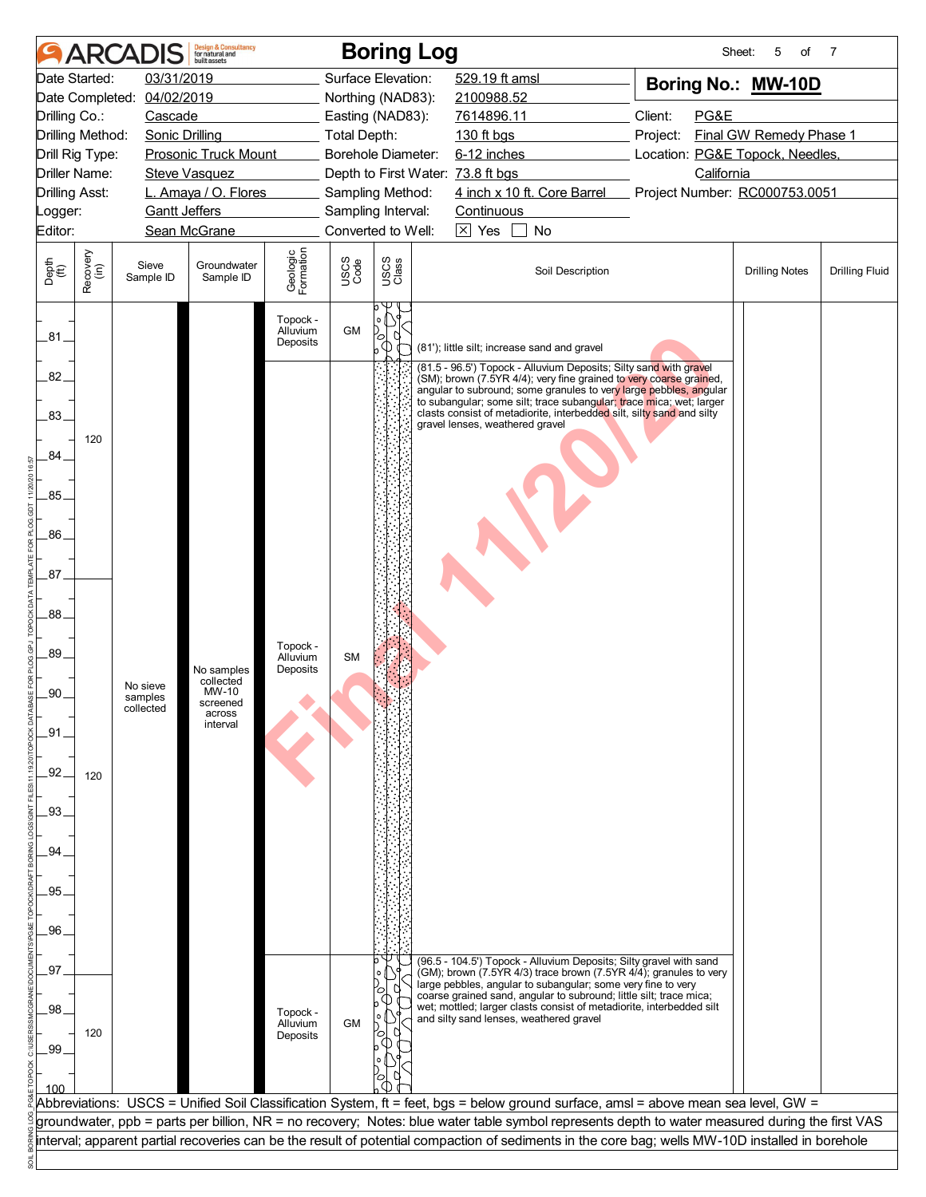|                                                                                      | <b>ARCA</b>      |                                     | <b>Design &amp; Consultancy</b><br>for natural and<br>huilt assets          |                                  |                                                             |               | <b>Boring Log</b> |                                                                                                                                                                                                                                                                                                                                                                                                                                          |  | Sheet:                                | 5<br>of               | 7                     |
|--------------------------------------------------------------------------------------|------------------|-------------------------------------|-----------------------------------------------------------------------------|----------------------------------|-------------------------------------------------------------|---------------|-------------------|------------------------------------------------------------------------------------------------------------------------------------------------------------------------------------------------------------------------------------------------------------------------------------------------------------------------------------------------------------------------------------------------------------------------------------------|--|---------------------------------------|-----------------------|-----------------------|
| Date Started:<br>Date Completed:<br>Drilling Co.:                                    |                  | 03/31/2019<br>04/02/2019<br>Cascade |                                                                             |                                  | Surface Elevation:<br>Northing (NAD83):<br>Easting (NAD83): |               |                   | 529.19 ft amsl<br>2100988.52<br>7614896.11                                                                                                                                                                                                                                                                                                                                                                                               |  | Boring No.: MW-10D<br>Client:<br>PG&E |                       |                       |
| Drilling Method:<br>Drill Rig Type:<br><b>Driller Name:</b><br><b>Drilling Asst:</b> |                  | <b>Sonic Drilling</b>               | <b>Prosonic Truck Mount</b><br><b>Steve Vasquez</b><br>L. Amaya / O. Flores |                                  | Total Depth:<br>Borehole Diameter:<br>Sampling Method:      |               |                   | 130 ft bgs<br>Project:<br>6-12 inches<br>Location: PG&E Topock, Needles,<br>Depth to First Water: 73.8 ft bgs<br>California<br>4 inch x 10 ft. Core Barrel Project Number: RC000753.0051                                                                                                                                                                                                                                                 |  | Final GW Remedy Phase 1               |                       |                       |
| Logger:<br>Editor:                                                                   |                  | <b>Gantt Jeffers</b>                | Sean McGrane                                                                |                                  | Sampling Interval:<br>Converted to Well:                    |               |                   | Continuous<br>$\overline{\times}$ Yes<br>No                                                                                                                                                                                                                                                                                                                                                                                              |  |                                       |                       |                       |
| Depth<br>$\widetilde{f(t)}$                                                          | Recovery<br>(in) | Sieve<br>Sample ID                  | Groundwater<br>Sample ID                                                    | Geologic<br>Formation            | USCS<br>Code                                                | USCS<br>Class |                   | Soil Description                                                                                                                                                                                                                                                                                                                                                                                                                         |  |                                       | <b>Drilling Notes</b> | <b>Drilling Fluid</b> |
| .81                                                                                  |                  |                                     |                                                                             | Topock -<br>Alluvium<br>Deposits | <b>GM</b>                                                   | $\circ$       |                   | (81'); little silt; increase sand and gravel                                                                                                                                                                                                                                                                                                                                                                                             |  |                                       |                       |                       |
| 82.<br>.83.<br>.84<br>.85.<br>.86.<br>87 <sub>1</sub>                                | 120              |                                     |                                                                             |                                  |                                                             |               |                   | (81.5 - 96.5') Topock - Alluvium Deposits; Silty sand with gravel<br>(SM); brown (7.5YR 4/4); very fine grained to very coarse grained,<br>angular to subround; some granules to very large pebbles, angular<br>to subangular; some silt; trace subangular; trace mica; wet; larger<br>clasts consist of metadiorite, interbedded silt, silty sand and silty<br>gravel lenses, weathered gravel                                          |  |                                       |                       |                       |
| .88<br>89.<br>.90.<br>_91<br>.92.                                                    | 120              | No sieve<br>samples<br>collected    | No samples<br>collected<br>MW-10<br>screened<br>across<br>interval          | Topock -<br>Alluvium<br>Deposits | <b>SM</b>                                                   |               |                   |                                                                                                                                                                                                                                                                                                                                                                                                                                          |  |                                       |                       |                       |
| .93.<br>94<br>95<br>.96                                                              |                  |                                     |                                                                             |                                  |                                                             |               |                   |                                                                                                                                                                                                                                                                                                                                                                                                                                          |  |                                       |                       |                       |
| 97<br>.98<br>.99                                                                     | 120              |                                     |                                                                             | Topock -<br>Alluvium<br>Deposits | <b>GM</b>                                                   |               |                   | (96.5 - 104.5') Topock - Alluvium Deposits; Silty gravel with sand<br>(GM); brown (7.5YR 4/3) trace brown (7.5YR 4/4); granules to very<br>large pebbles, angular to subangular; some very fine to very<br>coarse grained sand, angular to subround; little silt; trace mica;<br>wet; mottled; larger clasts consist of metadiorite, interbedded silt<br>and silty sand lenses, weathered gravel                                         |  |                                       |                       |                       |
| 100                                                                                  |                  |                                     |                                                                             |                                  |                                                             |               |                   | Abbreviations: USCS = Unified Soil Classification System, ft = feet, bgs = below ground surface, amsl = above mean sea level, GW =<br>groundwater, ppb = parts per billion, NR = no recovery; Notes: blue water table symbol represents depth to water measured during the first VAS<br>interval; apparent partial recoveries can be the result of potential compaction of sediments in the core bag; wells MW-10D installed in borehole |  |                                       |                       |                       |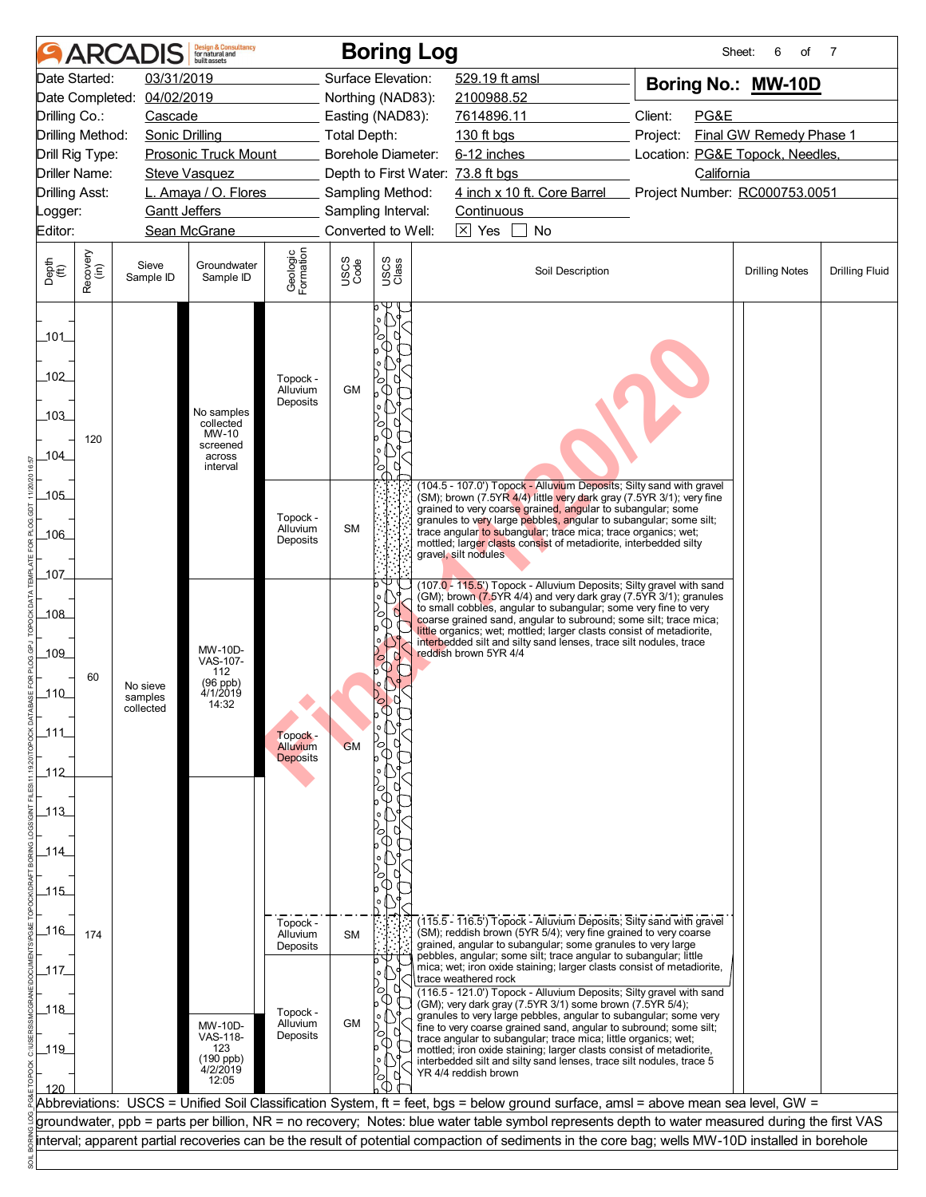|                              |                       | <b>ARCADIS</b>             | <b>Design &amp; Consultancy</b><br>for natural and<br>huilt assets |                                  |              | <b>Boring Log</b>                     |                                                                                                                                                                                                                                | Sheet:                                         | 6<br>of               | 7                     |
|------------------------------|-----------------------|----------------------------|--------------------------------------------------------------------|----------------------------------|--------------|---------------------------------------|--------------------------------------------------------------------------------------------------------------------------------------------------------------------------------------------------------------------------------|------------------------------------------------|-----------------------|-----------------------|
|                              | Date Started:         | 03/31/2019                 |                                                                    |                                  |              | Surface Elevation:                    | 529.19 ft amsl                                                                                                                                                                                                                 | Boring No.: MW-10D                             |                       |                       |
|                              |                       | Date Completed: 04/02/2019 |                                                                    |                                  |              | Northing (NAD83):                     | 2100988.52                                                                                                                                                                                                                     |                                                |                       |                       |
| Drilling Co.:                |                       | Cascade                    |                                                                    |                                  |              | Easting (NAD83):                      | 7614896.11                                                                                                                                                                                                                     | Client:<br>PG&E                                |                       |                       |
|                              | Drilling Method:      | <b>Sonic Drilling</b>      |                                                                    |                                  | Total Depth: |                                       | Final GW Remedy Phase 1<br>130 ft bgs<br>Project:                                                                                                                                                                              |                                                |                       |                       |
|                              | Drill Rig Type:       |                            | <b>Prosonic Truck Mount</b>                                        |                                  |              | Borehole Diameter:                    |                                                                                                                                                                                                                                | 6-12 inches<br>Location: PG&E Topock, Needles, |                       |                       |
|                              | <b>Driller Name:</b>  |                            | <b>Steve Vasquez</b>                                               |                                  |              |                                       | Depth to First Water: 73.8 ft bgs                                                                                                                                                                                              | California                                     |                       |                       |
|                              | <b>Drilling Asst:</b> |                            | L. Amaya / O. Flores                                               |                                  |              | Sampling Method:                      | 4 inch x 10 ft. Core Barrel Project Number: RC000753.0051                                                                                                                                                                      |                                                |                       |                       |
| Logger:                      |                       | <b>Gantt Jeffers</b>       |                                                                    |                                  |              | Sampling Interval:                    | Continuous                                                                                                                                                                                                                     |                                                |                       |                       |
| Editor:                      |                       |                            | Sean McGrane                                                       |                                  |              | Converted to Well:                    | $\times$ Yes<br>No                                                                                                                                                                                                             |                                                |                       |                       |
| Depth<br>$\widetilde{f(t)}$  | Recovery<br>(in)      | Sieve<br>Sample ID         | Groundwater<br>Sample ID                                           | Geologic<br>Formation            | USCS<br>Code | USCS<br>Class                         | Soil Description                                                                                                                                                                                                               |                                                | <b>Drilling Notes</b> | <b>Drilling Fluid</b> |
| $-101$<br>102<br>103<br>104_ | 120                   |                            | No samples<br>collected<br>MW-10<br>screened<br>across<br>interval | Topock -<br>Alluvium<br>Deposits | <b>GM</b>    | Ο<br>Ο<br>$\Phi$<br>$\circ$<br>Ο<br>O |                                                                                                                                                                                                                                |                                                |                       |                       |
| $-105$                       |                       |                            |                                                                    |                                  |              |                                       | (104.5 - 107.0') Topock - Alluvium Deposits; Silty sand with gravel                                                                                                                                                            |                                                |                       |                       |
|                              |                       |                            |                                                                    | Topock -                         |              |                                       | (SM); brown (7.5YR 4/4) little very dark gray (7.5YR 3/1); very fine<br>grained to very coarse grained, angular to subangular; some                                                                                            |                                                |                       |                       |
| $-106$                       |                       |                            |                                                                    | Alluvium<br>Deposits             | <b>SM</b>    |                                       | granules to very large pebbles, angular to subangular; some silt;<br>trace angular to subangular; trace mica; trace organics; wet;<br>mottled; larger clasts consist of metadiorite, interbedded silty<br>gravel, silt nodules |                                                |                       |                       |
| 107                          |                       |                            |                                                                    |                                  |              |                                       |                                                                                                                                                                                                                                |                                                |                       |                       |
|                              |                       |                            |                                                                    |                                  |              | $\mathsf{o}$                          | (107.0 - 115.5') Topock - Alluvium Deposits; Silty gravel with sand<br>(GM); brown (7.5YR 4/4) and very dark gray (7.5YR 3/1); granules                                                                                        |                                                |                       |                       |
| _108_                        |                       |                            |                                                                    |                                  |              | N<br>ъ                                | to small cobbles, angular to subangular; some very fine to very<br>coarse grained sand, angular to subround; some silt; trace mica;                                                                                            |                                                |                       |                       |
|                              |                       |                            | MW-10D-                                                            |                                  |              | $\circ$                               | little organics; wet; mottled; larger clasts consist of metadiorite,<br>interbedded silt and silty sand lenses, trace silt nodules, trace                                                                                      |                                                |                       |                       |
| _109_                        |                       |                            | VAS-107-                                                           |                                  |              | О                                     | reddish brown 5YR 4/4                                                                                                                                                                                                          |                                                |                       |                       |
|                              | 60                    | No sieve                   | 112<br>(96 ppb)                                                    |                                  |              |                                       |                                                                                                                                                                                                                                |                                                |                       |                       |
| $-110$                       |                       | samples<br>collected       | 4/1/2019<br>14:32                                                  |                                  |              | O<br>ا⊂                               |                                                                                                                                                                                                                                |                                                |                       |                       |
| 111                          |                       |                            |                                                                    |                                  |              |                                       |                                                                                                                                                                                                                                |                                                |                       |                       |
|                              |                       |                            |                                                                    | Topock -<br>Alluvium             | <b>GM</b>    |                                       |                                                                                                                                                                                                                                |                                                |                       |                       |
| $-112$                       |                       |                            |                                                                    | <b>Deposits</b>                  |              |                                       |                                                                                                                                                                                                                                |                                                |                       |                       |
|                              |                       |                            |                                                                    |                                  |              |                                       |                                                                                                                                                                                                                                |                                                |                       |                       |
| $-113$                       |                       |                            |                                                                    |                                  |              |                                       |                                                                                                                                                                                                                                |                                                |                       |                       |
|                              |                       |                            |                                                                    |                                  |              |                                       |                                                                                                                                                                                                                                |                                                |                       |                       |
| $-114$                       |                       |                            |                                                                    |                                  |              |                                       |                                                                                                                                                                                                                                |                                                |                       |                       |
|                              |                       |                            |                                                                    |                                  |              | ъ                                     |                                                                                                                                                                                                                                |                                                |                       |                       |
| 115                          |                       |                            |                                                                    |                                  |              | $\circ$                               |                                                                                                                                                                                                                                |                                                |                       |                       |
|                              |                       |                            |                                                                    | Topock -                         |              |                                       | (115.5 - 116.5') Topock - Alluvium Deposits; Silty sand with gravel                                                                                                                                                            |                                                |                       |                       |
| 116                          | 174                   |                            |                                                                    | Alluvium                         | <b>SM</b>    |                                       | (SM); reddish brown (5YR 5/4); very fine grained to very coarse<br>grained, angular to subangular; some granules to very large                                                                                                 |                                                |                       |                       |
|                              |                       |                            |                                                                    | Deposits                         |              | U                                     | pebbles, angular; some silt; trace angular to subangular; little<br>mica; wet; iron oxide staining; larger clasts consist of metadiorite,                                                                                      |                                                |                       |                       |
| _117_                        |                       |                            |                                                                    |                                  |              | $\mathsf{o}$                          | trace weathered rock                                                                                                                                                                                                           |                                                |                       |                       |
|                              |                       |                            |                                                                    |                                  |              |                                       | (116.5 - 121.0') Topock - Alluvium Deposits; Silty gravel with sand<br>(GM); very dark gray (7.5YR 3/1) some brown (7.5YR 5/4);                                                                                                |                                                |                       |                       |
| _118_                        |                       |                            | MW-10D-                                                            | Topock -<br>Alluvium             | <b>GM</b>    |                                       | granules to very large pebbles, angular to subangular; some very<br>fine to very coarse grained sand, angular to subround; some silt;                                                                                          |                                                |                       |                       |
| $-119$                       |                       |                            | VAS-118-<br>123                                                    | Deposits                         |              | $\circ$                               | trace angular to subangular; trace mica; little organics; wet;<br>mottled; iron oxide staining; larger clasts consist of metadiorite,                                                                                          |                                                |                       |                       |
|                              |                       |                            | (190 ppb)<br>4/2/2019                                              |                                  |              |                                       | interbedded silt and silty sand lenses, trace silt nodules, trace 5                                                                                                                                                            |                                                |                       |                       |
| 120                          |                       |                            | 12:05                                                              |                                  |              | Ο                                     | YR 4/4 reddish brown                                                                                                                                                                                                           |                                                |                       |                       |
|                              |                       |                            |                                                                    |                                  |              |                                       | Abbreviations: USCS = Unified Soil Classification System, ft = feet, bgs = below ground surface, amsl = above mean sea level, GW =                                                                                             |                                                |                       |                       |
|                              |                       |                            |                                                                    |                                  |              |                                       | groundwater, ppb = parts per billion, NR = no recovery; Notes: blue water table symbol represents depth to water measured during the first VAS                                                                                 |                                                |                       |                       |
|                              |                       |                            |                                                                    |                                  |              |                                       | interval; apparent partial recoveries can be the result of potential compaction of sediments in the core bag; wells MW-10D installed in borehole                                                                               |                                                |                       |                       |
|                              |                       |                            |                                                                    |                                  |              |                                       |                                                                                                                                                                                                                                |                                                |                       |                       |